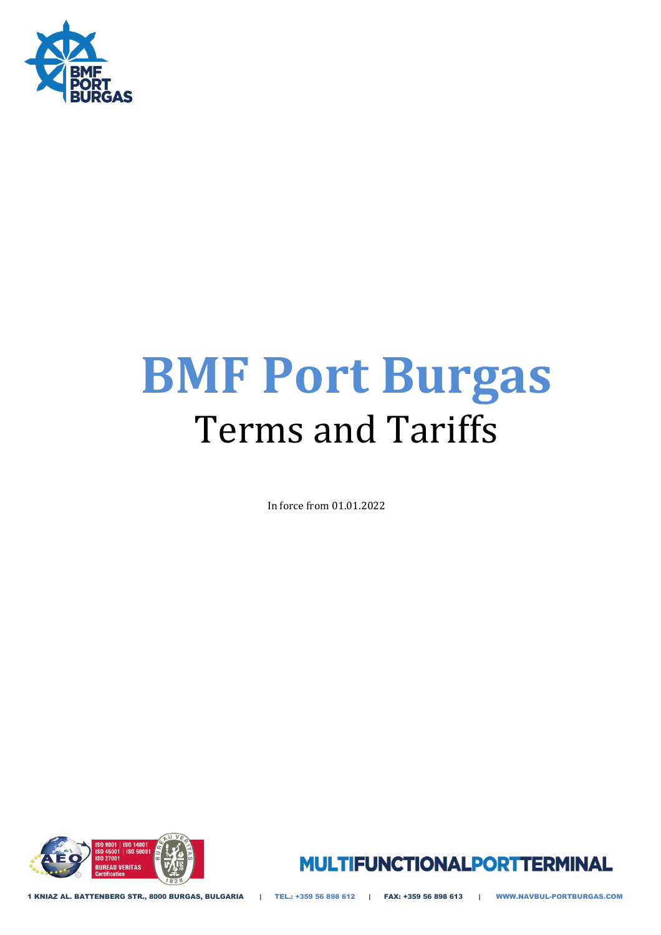

# **BMF Port Burgas**  Terms and Tariffs

In force from 01.01.2022





1 KNIAZ AL. BATTENBERG STR., 8000 BURGAS, BULGARIA | TEL.: +359 56 898 612 | FAX: +359 56 898 613 | WWW.NAVBUL-PORTBURGAS.COM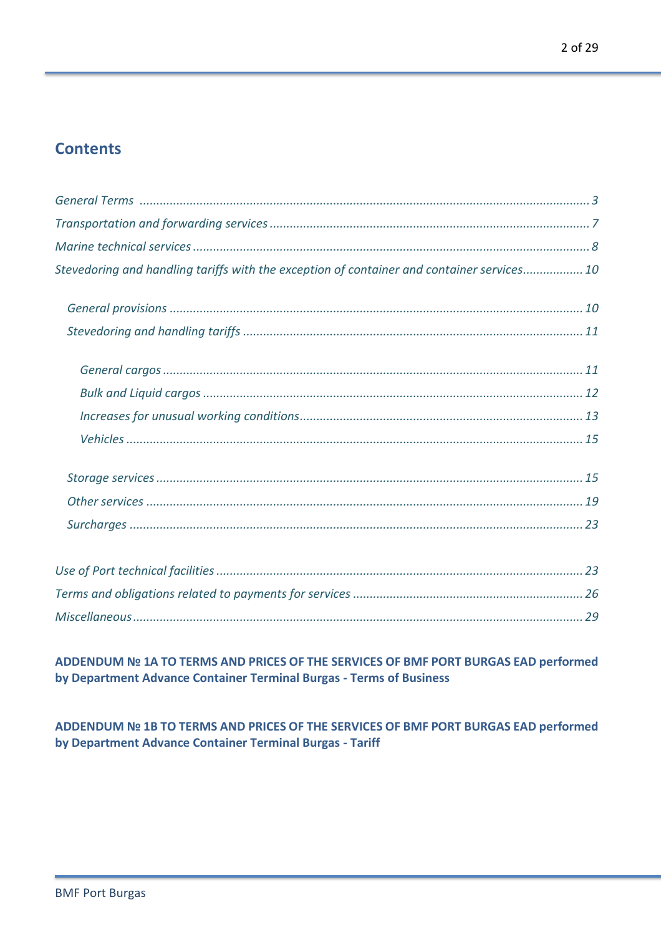# **Contents**

| Stevedoring and handling tariffs with the exception of container and container services 10 |
|--------------------------------------------------------------------------------------------|
|                                                                                            |
|                                                                                            |
|                                                                                            |
|                                                                                            |
|                                                                                            |
|                                                                                            |
|                                                                                            |
|                                                                                            |
|                                                                                            |
|                                                                                            |
|                                                                                            |
|                                                                                            |

ADDENDUM Nº 1A TO TERMS AND PRICES OF THE SERVICES OF BMF PORT BURGAS EAD performed by Department Advance Container Terminal Burgas - Terms of Business

ADDENDUM Nº 1B TO TERMS AND PRICES OF THE SERVICES OF BMF PORT BURGAS EAD performed by Department Advance Container Terminal Burgas - Tariff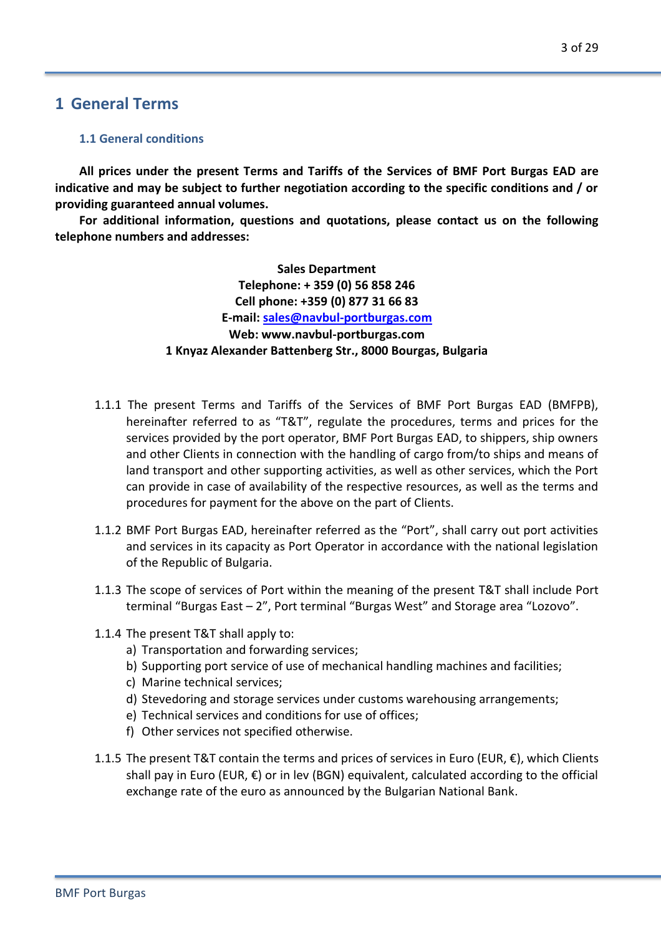## **1 General Terms**

#### **1.1 General conditions**

**All prices under the present Terms and Tariffs of the Services of BMF Port Burgas EAD are indicative and may be subject to further negotiation according to the specific conditions and / or providing guaranteed annual volumes.**

**For additional information, questions and quotations, please contact us on the following telephone numbers and addresses:**

> **Sales Department Telephone: + 359 (0) 56 858 246 Cell phone: +359 (0) 877 31 66 83 E-mail[: sales@navbul-portburgas.com](mailto:sales@navbul-portburgas.com) Web: www.navbul-portburgas.com 1 Knyaz Alexander Battenberg Str., 8000 Bourgas, Bulgaria**

- 1.1.1 The present Terms and Tariffs of the Services of BMF Port Burgas EAD (BMFPB), hereinafter referred to as "T&T", regulate the procedures, terms and prices for the services provided by the port operator, BMF Port Burgas EAD, to shippers, ship owners and other Clients in connection with the handling of cargo from/to ships and means of land transport and other supporting activities, as well as other services, which the Port can provide in case of availability of the respective resources, as well as the terms and procedures for payment for the above on the part of Clients.
- 1.1.2 BMF Port Burgas EAD, hereinafter referred as the "Port", shall carry out port activities and services in its capacity as Port Operator in accordance with the national legislation of the Republic of Bulgaria.
- 1.1.3 The scope of services of Port within the meaning of the present T&T shall include Port terminal "Burgas East – 2", Port terminal "Burgas West" and Storage area "Lozovo".
- 1.1.4 The present T&T shall apply to:
	- a) Transportation and forwarding services;
	- b) Supporting port service of use of mechanical handling machines and facilities;
	- c) Marine technical services;
	- d) Stevedoring and storage services under customs warehousing arrangements;
	- e) Technical services and conditions for use of offices;
	- f) Other services not specified otherwise.
- 1.1.5 The present T&T contain the terms and prices of services in Euro (EUR, €), which Clients shall pay in Euro (EUR,  $\epsilon$ ) or in lev (BGN) equivalent, calculated according to the official exchange rate of the euro as announced by the Bulgarian National Bank.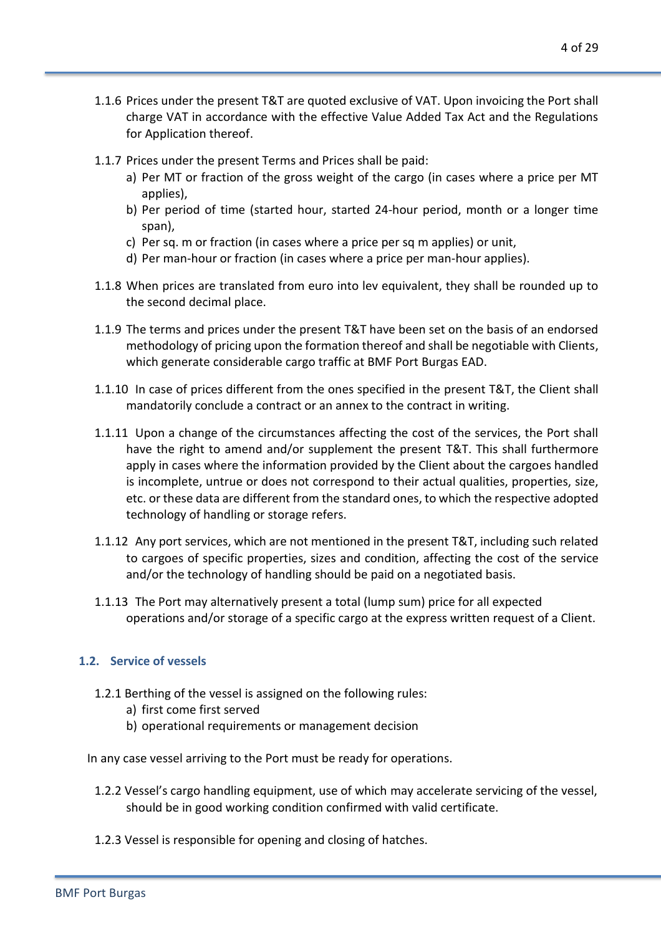- 1.1.6 Prices under the present T&T are quoted exclusive of VAT. Upon invoicing the Port shall charge VAT in accordance with the effective Value Added Tax Act and the Regulations for Application thereof.
- 1.1.7 Prices under the present Terms and Prices shall be paid:
	- a) Per MT or fraction of the gross weight of the cargo (in cases where a price per MT applies),
	- b) Per period of time (started hour, started 24-hour period, month or a longer time span),
	- c) Per sq. m or fraction (in cases where a price per sq m applies) or unit,
	- d) Per man-hour or fraction (in cases where a price per man-hour applies).
- 1.1.8 When prices are translated from euro into lev equivalent, they shall be rounded up to the second decimal place.
- 1.1.9 The terms and prices under the present T&T have been set on the basis of an endorsed methodology of pricing upon the formation thereof and shall be negotiable with Clients, which generate considerable cargo traffic at BMF Port Burgas EAD.
- 1.1.10 In case of prices different from the ones specified in the present T&T, the Client shall mandatorily conclude a contract or an annex to the contract in writing.
- 1.1.11 Upon a change of the circumstances affecting the cost of the services, the Port shall have the right to amend and/or supplement the present T&T. This shall furthermore apply in cases where the information provided by the Client about the cargoes handled is incomplete, untrue or does not correspond to their actual qualities, properties, size, etc. or these data are different from the standard ones, to which the respective adopted technology of handling or storage refers.
- 1.1.12 Any port services, which are not mentioned in the present T&T, including such related to cargoes of specific properties, sizes and condition, affecting the cost of the service and/or the technology of handling should be paid on a negotiated basis.
- 1.1.13 The Port may alternatively present a total (lump sum) price for all expected operations and/or storage of a specific cargo at the express written request of a Client.

#### **1.2. Service of vessels**

- 1.2.1 Berthing of the vessel is assigned on the following rules:
	- a) first come first served
	- b) operational requirements or management decision

In any case vessel arriving to the Port must be ready for operations.

- 1.2.2 Vessel's cargo handling equipment, use of which may accelerate servicing of the vessel, should be in good working condition confirmed with valid certificate.
- 1.2.3 Vessel is responsible for opening and closing of hatches.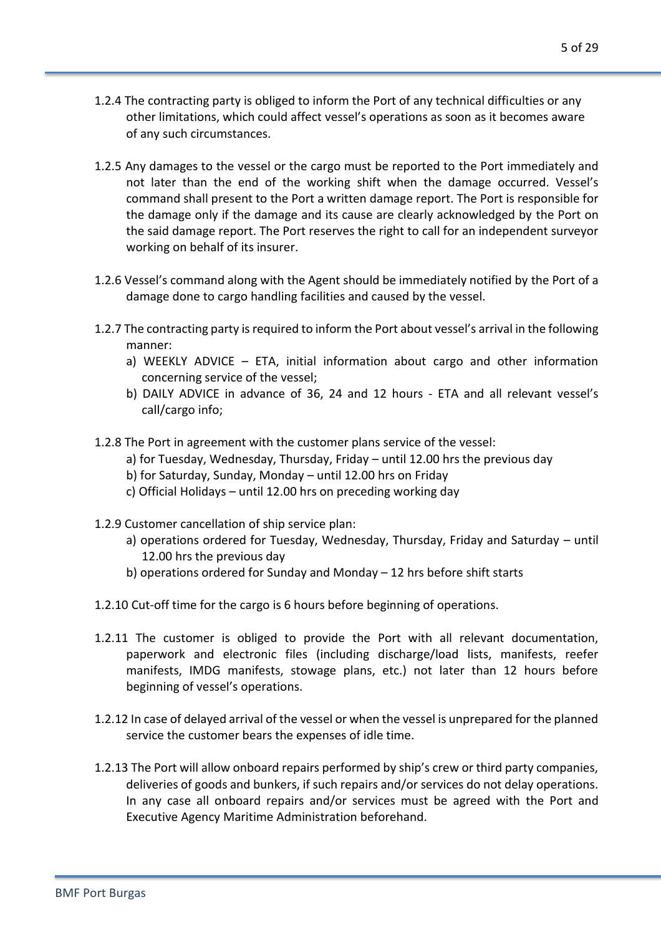- 1.2.4 The contracting party is obliged to inform the Port of any technical difficulties or any other limitations, which could affect vessel's operations as soon as it becomes aware of any such circumstances.
- 1.2.5 Any damages to the vessel or the cargo must be reported to the Port immediately and not later than the end of the working shift when the damage occurred. Vessel's command shall present to the Port a written damage report. The Port is responsible for the damage only if the damage and its cause are clearly acknowledged by the Port on the said damage report. The Port reserves the right to call for an independent surveyor working on behalf of its insurer.
- 1.2.6 Vessel's command along with the Agent should be immediately notified by the Port of a damage done to cargo handling facilities and caused by the vessel.
- 1.2.7 The contracting party is required to inform the Port about vessel's arrival in the following manner:
	- a) WEEKLY ADVICE ETA, initial information about cargo and other information concerning service of the vessel;
	- b) DAILY ADVICE in advance of 36, 24 and 12 hours ETA and all relevant vessel's call/cargo info;
- 1.2.8 The Port in agreement with the customer plans service of the vessel:
	- a) for Tuesday, Wednesday, Thursday, Friday until 12.00 hrs the previous day
	- b) for Saturday, Sunday, Monday until 12.00 hrs on Friday
	- c) Official Holidays until 12.00 hrs on preceding working day
- 1.2.9 Customer cancellation of ship service plan:
	- a) operations ordered for Tuesday, Wednesday, Thursday, Friday and Saturday until 12.00 hrs the previous day
	- b) operations ordered for Sunday and Monday 12 hrs before shift starts
- 1.2.10 Cut-off time for the cargo is 6 hours before beginning of operations.
- 1.2.11 The customer is obliged to provide the Port with all relevant documentation, paperwork and electronic files (including discharge/load lists, manifests, reefer manifests, IMDG manifests, stowage plans, etc.) not later than 12 hours before beginning of vessel's operations.
- 1.2.12 In case of delayed arrival of the vessel or when the vessel is unprepared for the planned service the customer bears the expenses of idle time.
- 1.2.13 The Port will allow onboard repairs performed by ship's crew or third party companies, deliveries of goods and bunkers, if such repairs and/or services do not delay operations. In any case all onboard repairs and/or services must be agreed with the Port and Executive Agency Maritime Administration beforehand.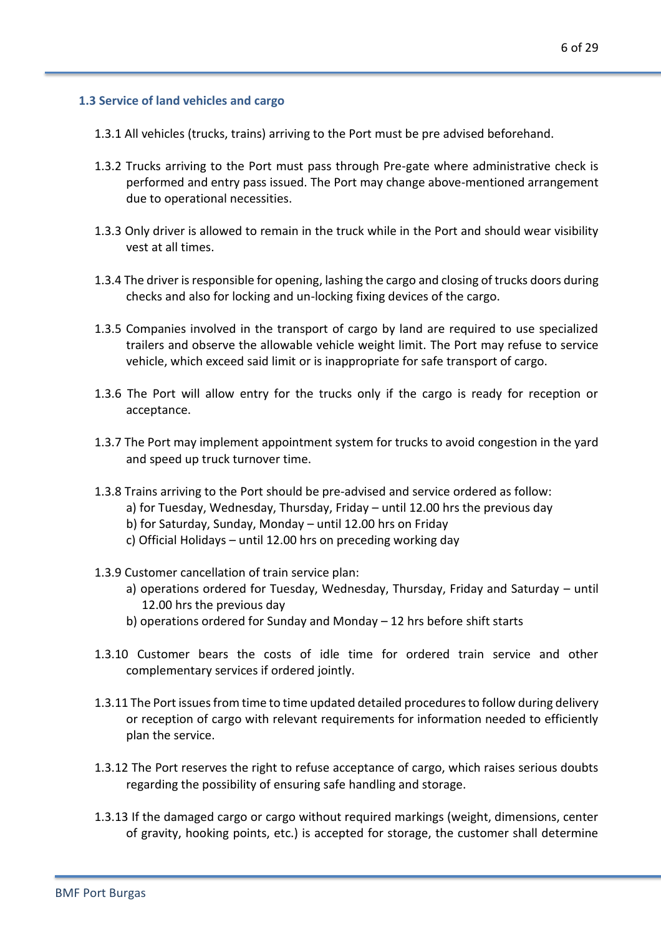#### **1.3 Service of land vehicles and cargo**

- 1.3.1 All vehicles (trucks, trains) arriving to the Port must be pre advised beforehand.
- 1.3.2 Trucks arriving to the Port must pass through Pre-gate where administrative check is performed and entry pass issued. The Port may change above-mentioned arrangement due to operational necessities.
- 1.3.3 Only driver is allowed to remain in the truck while in the Port and should wear visibility vest at all times.
- 1.3.4 The driver is responsible for opening, lashing the cargo and closing of trucks doors during checks and also for locking and un-locking fixing devices of the cargo.
- 1.3.5 Companies involved in the transport of cargo by land are required to use specialized trailers and observe the allowable vehicle weight limit. The Port may refuse to service vehicle, which exceed said limit or is inappropriate for safe transport of cargo.
- 1.3.6 The Port will allow entry for the trucks only if the cargo is ready for reception or acceptance.
- 1.3.7 The Port may implement appointment system for trucks to avoid congestion in the yard and speed up truck turnover time.
- 1.3.8 Trains arriving to the Port should be pre-advised and service ordered as follow:
	- a) for Tuesday, Wednesday, Thursday, Friday until 12.00 hrs the previous day
	- b) for Saturday, Sunday, Monday until 12.00 hrs on Friday
	- c) Official Holidays until 12.00 hrs on preceding working day
- 1.3.9 Customer cancellation of train service plan:
	- a) operations ordered for Tuesday, Wednesday, Thursday, Friday and Saturday until 12.00 hrs the previous day
	- b) operations ordered for Sunday and Monday 12 hrs before shift starts
- 1.3.10 Customer bears the costs of idle time for ordered train service and other complementary services if ordered jointly.
- 1.3.11 The Port issues from time to time updated detailed procedures to follow during delivery or reception of cargo with relevant requirements for information needed to efficiently plan the service.
- 1.3.12 The Port reserves the right to refuse acceptance of cargo, which raises serious doubts regarding the possibility of ensuring safe handling and storage.
- 1.3.13 If the damaged cargo or cargo without required markings (weight, dimensions, center of gravity, hooking points, etc.) is accepted for storage, the customer shall determine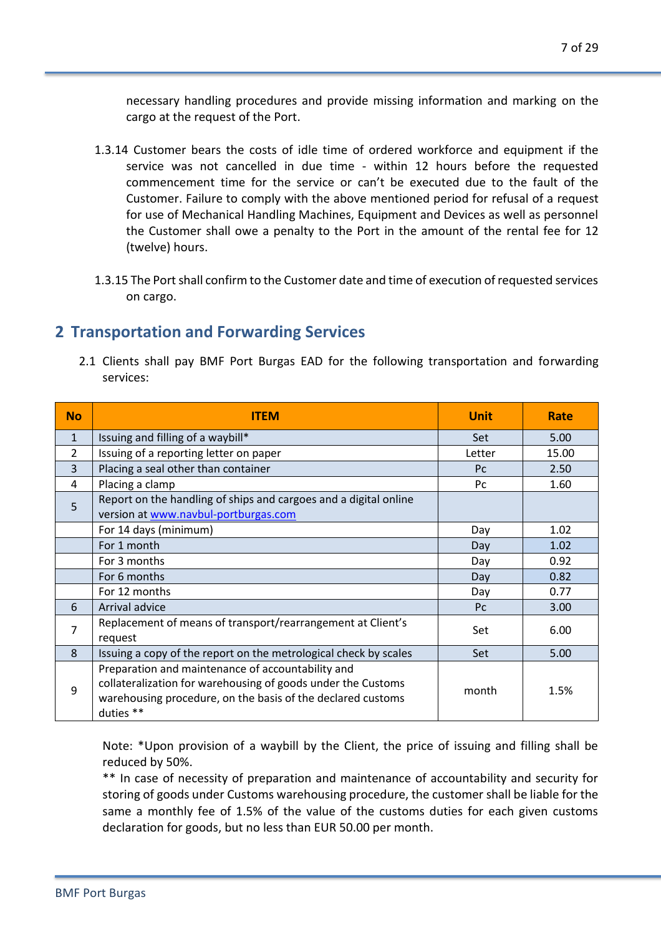necessary handling procedures and provide missing information and marking on the cargo at the request of the Port.

- 1.3.14 Customer bears the costs of idle time of ordered workforce and equipment if the service was not cancelled in due time - within 12 hours before the requested commencement time for the service or can't be executed due to the fault of the Customer. Failure to comply with the above mentioned period for refusal of a request for use of Mechanical Handling Machines, Equipment and Devices as well as personnel the Customer shall owe a penalty to the Port in the amount of the rental fee for 12 (twelve) hours.
- 1.3.15 The Port shall confirm to the Customer date and time of execution of requested services on cargo.

## **2 Transportation and Forwarding Services**

2.1 Clients shall pay BMF Port Burgas EAD for the following transportation and forwarding services:

| <b>No</b>      | <b>ITEM</b>                                                                                                                                                                                   | <b>Unit</b> | Rate  |
|----------------|-----------------------------------------------------------------------------------------------------------------------------------------------------------------------------------------------|-------------|-------|
| $\mathbf{1}$   | Issuing and filling of a waybill*                                                                                                                                                             | <b>Set</b>  | 5.00  |
| $\overline{2}$ | Issuing of a reporting letter on paper                                                                                                                                                        | Letter      | 15.00 |
| 3              | Placing a seal other than container                                                                                                                                                           | <b>Pc</b>   | 2.50  |
| 4              | Placing a clamp                                                                                                                                                                               | Pc          | 1.60  |
| 5              | Report on the handling of ships and cargoes and a digital online<br>version at www.navbul-portburgas.com                                                                                      |             |       |
|                | For 14 days (minimum)                                                                                                                                                                         | Day         | 1.02  |
|                | For 1 month                                                                                                                                                                                   | Day         | 1.02  |
|                | For 3 months                                                                                                                                                                                  | Day         | 0.92  |
|                | For 6 months                                                                                                                                                                                  | Day         | 0.82  |
|                | For 12 months                                                                                                                                                                                 | Day         | 0.77  |
| 6              | Arrival advice                                                                                                                                                                                | <b>Pc</b>   | 3.00  |
| 7              | Replacement of means of transport/rearrangement at Client's<br>request                                                                                                                        | Set         | 6.00  |
| 8              | Issuing a copy of the report on the metrological check by scales                                                                                                                              | Set         | 5.00  |
| 9              | Preparation and maintenance of accountability and<br>collateralization for warehousing of goods under the Customs<br>warehousing procedure, on the basis of the declared customs<br>duties ** | month       | 1.5%  |

Note: \*Upon provision of a waybill by the Client, the price of issuing and filling shall be reduced by 50%.

\*\* In case of necessity of preparation and maintenance of accountability and security for storing of goods under Customs warehousing procedure, the customer shall be liable for the same a monthly fee of 1.5% of the value of the customs duties for each given customs declaration for goods, but no less than EUR 50.00 per month.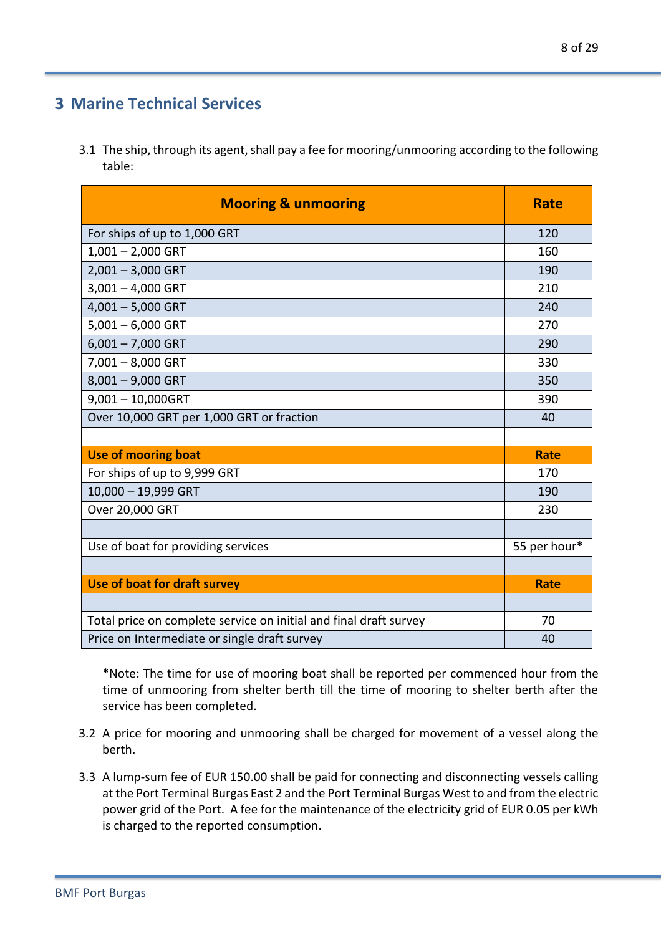## **3 Marine Technical Services**

3.1 The ship, through its agent, shall pay a fee for mooring/unmooring according to the following table:

| <b>Mooring &amp; unmooring</b>                                    | <b>Rate</b>  |
|-------------------------------------------------------------------|--------------|
| For ships of up to 1,000 GRT                                      | 120          |
| $1,001 - 2,000$ GRT                                               | 160          |
| $2,001 - 3,000$ GRT                                               | 190          |
| $3,001 - 4,000$ GRT                                               | 210          |
| $4,001 - 5,000$ GRT                                               | 240          |
| $5,001 - 6,000$ GRT                                               | 270          |
| $6,001 - 7,000$ GRT                                               | 290          |
| $7,001 - 8,000$ GRT                                               | 330          |
| $8,001 - 9,000$ GRT                                               | 350          |
| $9,001 - 10,000GRT$                                               | 390          |
| Over 10,000 GRT per 1,000 GRT or fraction                         | 40           |
|                                                                   |              |
| <b>Use of mooring boat</b>                                        | <b>Rate</b>  |
| For ships of up to 9,999 GRT                                      | 170          |
| 10,000 - 19,999 GRT                                               | 190          |
| Over 20,000 GRT                                                   | 230          |
|                                                                   |              |
| Use of boat for providing services                                | 55 per hour* |
|                                                                   |              |
| Use of boat for draft survey                                      | <b>Rate</b>  |
|                                                                   |              |
| Total price on complete service on initial and final draft survey | 70           |
| Price on Intermediate or single draft survey                      | 40           |

\*Note: The time for use of mooring boat shall be reported per commenced hour from the time of unmooring from shelter berth till the time of mooring to shelter berth after the service has been completed.

- 3.2 A price for mooring and unmooring shall be charged for movement of a vessel along the berth.
- 3.3 A lump-sum fee of EUR 150.00 shall be paid for connecting and disconnecting vessels calling at the Port Terminal Burgas East 2 and the Port Terminal Burgas West to and from the electric power grid of the Port. A fee for the maintenance of the electricity grid of EUR 0.05 per kWh is charged to the reported consumption.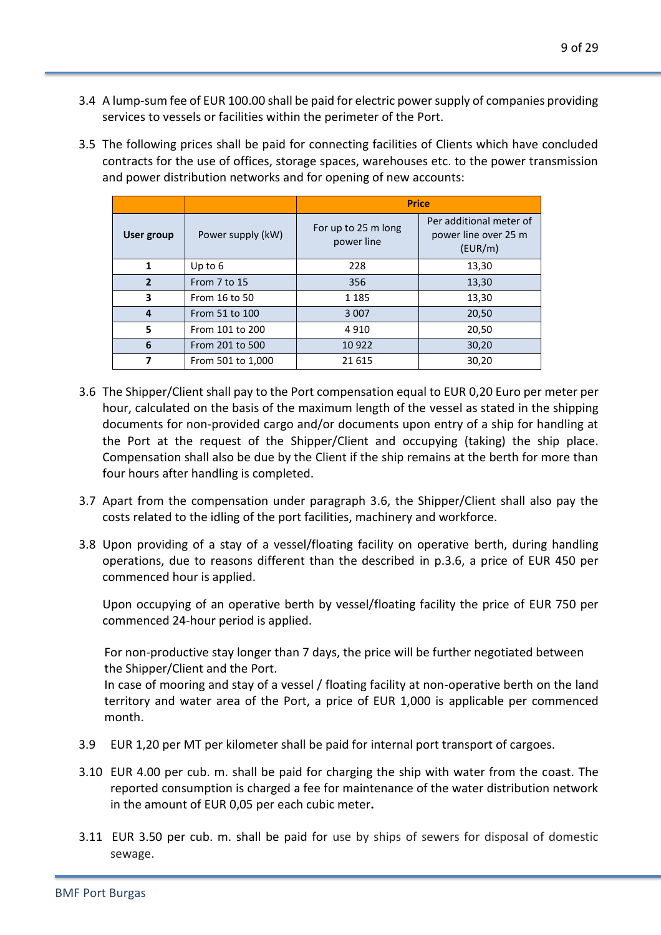- 3.4 A lump-sum fee of EUR 100.00 shall be paid for electric power supply of companies providing services to vessels or facilities within the perimeter of the Port.
- 3.5 The following prices shall be paid for connecting facilities of Clients which have concluded contracts for the use of offices, storage spaces, warehouses etc. to the power transmission and power distribution networks and for opening of new accounts:

|                |                   | <b>Price</b>                      |                                                            |  |
|----------------|-------------------|-----------------------------------|------------------------------------------------------------|--|
| User group     | Power supply (kW) | For up to 25 m long<br>power line | Per additional meter of<br>power line over 25 m<br>(EUR/m) |  |
|                | Up to 6           | 228                               | 13,30                                                      |  |
| $\overline{2}$ | From 7 to 15      | 356                               | 13,30                                                      |  |
| 3              | From 16 to 50     | 1 1 8 5                           | 13,30                                                      |  |
| 4              | From 51 to 100    | 3 0 0 7                           | 20,50                                                      |  |
| 5              | From 101 to 200   | 4910                              | 20,50                                                      |  |
| 6              | From 201 to 500   | 10 9 22                           | 30,20                                                      |  |
| 7              | From 501 to 1,000 | 21615                             | 30,20                                                      |  |

- 3.6 The Shipper/Client shall pay to the Port compensation equal to EUR 0,20 Euro per meter per hour, calculated on the basis of the maximum length of the vessel as stated in the shipping documents for non-provided cargo and/or documents upon entry of a ship for handling at the Port at the request of the Shipper/Client and occupying (taking) the ship place. Compensation shall also be due by the Client if the ship remains at the berth for more than four hours after handling is completed.
- 3.7 Apart from the compensation under paragraph 3.6, the Shipper/Client shall also pay the costs related to the idling of the port facilities, machinery and workforce.
- 3.8 Upon providing of a stay of a vessel/floating facility on operative berth, during handling operations, due to reasons different than the described in p.3.6, a price of EUR 450 per commenced hour is applied.

Upon occupying of an operative berth by vessel/floating facility the price of EUR 750 per commenced 24-hour period is applied.

For non-productive stay longer than 7 days, the price will be further negotiated between the Shipper/Client and the Port.

In case of mooring and stay of a vessel / floating facility at non-operative berth on the land territory and water area of the Port, a price of EUR 1,000 is applicable per commenced month.

- 3.9 EUR 1,20 per MT per kilometer shall be paid for internal port transport of cargoes.
- 3.10 EUR 4.00 per cub. m. shall be paid for charging the ship with water from the coast. Тhe reported consumption is charged a fee for maintenance of the water distribution network in the amount of EUR 0,05 per each cubic meter**.**
- 3.11 EUR 3.50 per cub. m. shall be paid for use by ships of sewers for disposal of domestic sewage.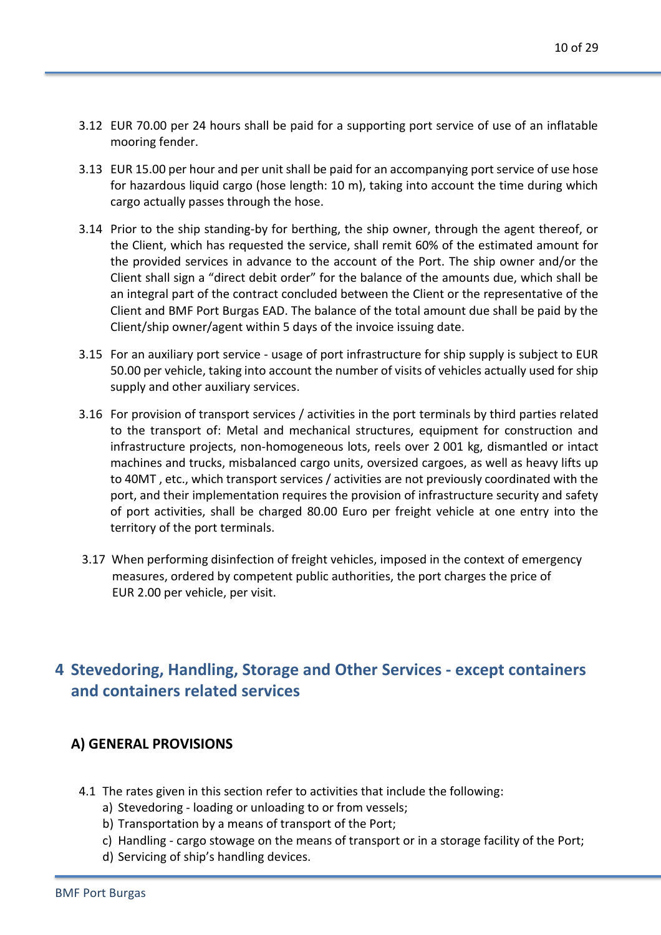- 3.12 EUR 70.00 per 24 hours shall be paid for a supporting port service of use of an inflatable mooring fender.
- 3.13 EUR 15.00 per hour and per unit shall be paid for an accompanying port service of use hose for hazardous liquid cargo (hose length: 10 m), taking into account the time during which cargo actually passes through the hose.
- 3.14 Prior to the ship standing-by for berthing, the ship owner, through the agent thereof, or the Client, which has requested the service, shall remit 60% of the estimated amount for the provided services in advance to the account of the Port. The ship owner and/or the Client shall sign a "direct debit order" for the balance of the amounts due, which shall be an integral part of the contract concluded between the Client or the representative of the Client and BMF Port Burgas EAD. The balance of the total amount due shall be paid by the Client/ship owner/agent within 5 days of the invoice issuing date.
- 3.15 For an auxiliary port service usage of port infrastructure for ship supply is subject to EUR 50.00 per vehicle, taking into account the number of visits of vehicles actually used for ship supply and other auxiliary services.
- 3.16 For provision of transport services / activities in the port terminals by third parties related to the transport of: Metal and mechanical structures, equipment for construction and infrastructure projects, non-homogeneous lots, reels over 2 001 kg, dismantled or intact machines and trucks, misbalanced cargo units, oversized cargoes, as well as heavy lifts up to 40MT , etc., which transport services / activities are not previously coordinated with the port, and their implementation requires the provision of infrastructure security and safety of port activities, shall be charged 80.00 Euro per freight vehicle at one entry into the territory of the port terminals.
- 3.17 When performing disinfection of freight vehicles, imposed in the context of emergency measures, ordered by competent public authorities, the port charges the price of EUR 2.00 per vehicle, per visit.

# **4 Stevedoring, Handling, Storage and Other Services - except containers and containers related services**

#### **A) GENERAL PROVISIONS**

- 4.1 The rates given in this section refer to activities that include the following:
	- a) Stevedoring loading or unloading to or from vessels;
	- b) Transportation by a means of transport of the Port;
	- c) Handling cargo stowage on the means of transport or in a storage facility of the Port;
	- d) Servicing of ship's handling devices.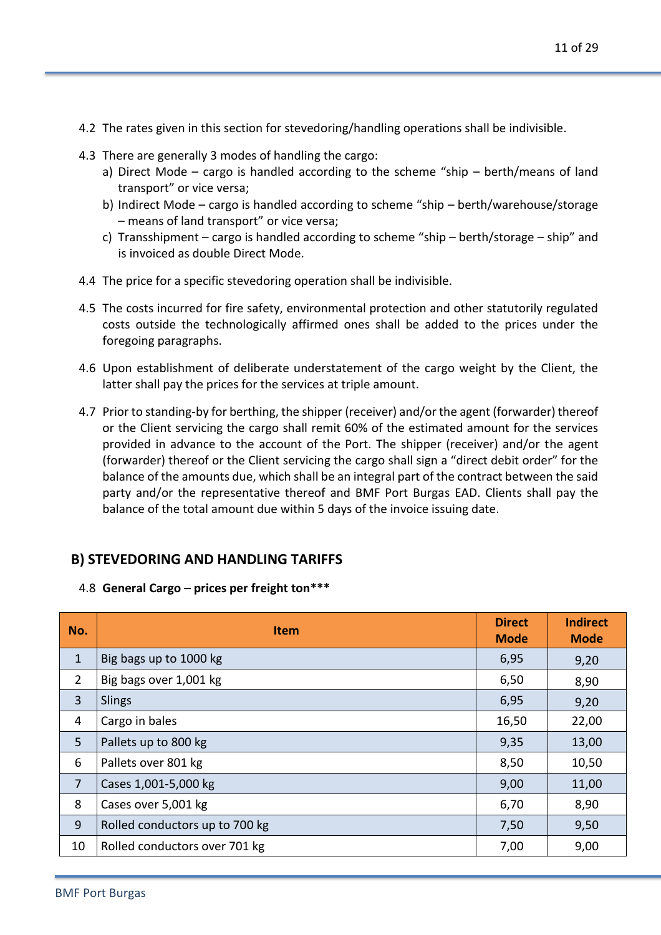- 4.2 The rates given in this section for stevedoring/handling operations shall be indivisible.
- 4.3 There are generally 3 modes of handling the cargo:
	- a) Direct Mode cargo is handled according to the scheme "ship berth/means of land transport" or vice versa;
	- b) Indirect Mode cargo is handled according to scheme "ship berth/warehouse/storage – means of land transport" or vice versa;
	- c) Transshipment cargo is handled according to scheme "ship berth/storage ship" and is invoiced as double Direct Mode.
- 4.4 The price for a specific stevedoring operation shall be indivisible.
- 4.5 The costs incurred for fire safety, environmental protection and other statutorily regulated costs outside the technologically affirmed ones shall be added to the prices under the foregoing paragraphs.
- 4.6 Upon establishment of deliberate understatement of the cargo weight by the Client, the latter shall pay the prices for the services at triple amount.
- 4.7 Prior to standing-by for berthing, the shipper (receiver) and/or the agent (forwarder) thereof or the Client servicing the cargo shall remit 60% of the estimated amount for the services provided in advance to the account of the Port. The shipper (receiver) and/or the agent (forwarder) thereof or the Client servicing the cargo shall sign a "direct debit order" for the balance of the amounts due, which shall be an integral part of the contract between the said party and/or the representative thereof and BMF Port Burgas EAD. Clients shall pay the balance of the total amount due within 5 days of the invoice issuing date.

## **B) STEVEDORING AND HANDLING TARIFFS**

4.8 **General Cargo – prices per freight ton\*\*\***

| No.            | <b>Item</b>                    | <b>Direct</b><br><b>Mode</b> | <b>Indirect</b><br><b>Mode</b> |
|----------------|--------------------------------|------------------------------|--------------------------------|
| $\mathbf{1}$   | Big bags up to 1000 kg         | 6,95                         | 9,20                           |
| $\overline{2}$ | Big bags over 1,001 kg         | 6,50                         | 8,90                           |
| 3              | Slings                         | 6,95                         | 9,20                           |
| 4              | Cargo in bales                 | 16,50                        | 22,00                          |
| 5 <sup>1</sup> | Pallets up to 800 kg           | 9,35                         | 13,00                          |
| 6              | Pallets over 801 kg            | 8,50                         | 10,50                          |
| $\overline{7}$ | Cases 1,001-5,000 kg           | 9,00                         | 11,00                          |
| 8              | Cases over 5,001 kg            | 6,70                         | 8,90                           |
| 9              | Rolled conductors up to 700 kg | 7,50                         | 9,50                           |
| 10             | Rolled conductors over 701 kg  | 7,00                         | 9,00                           |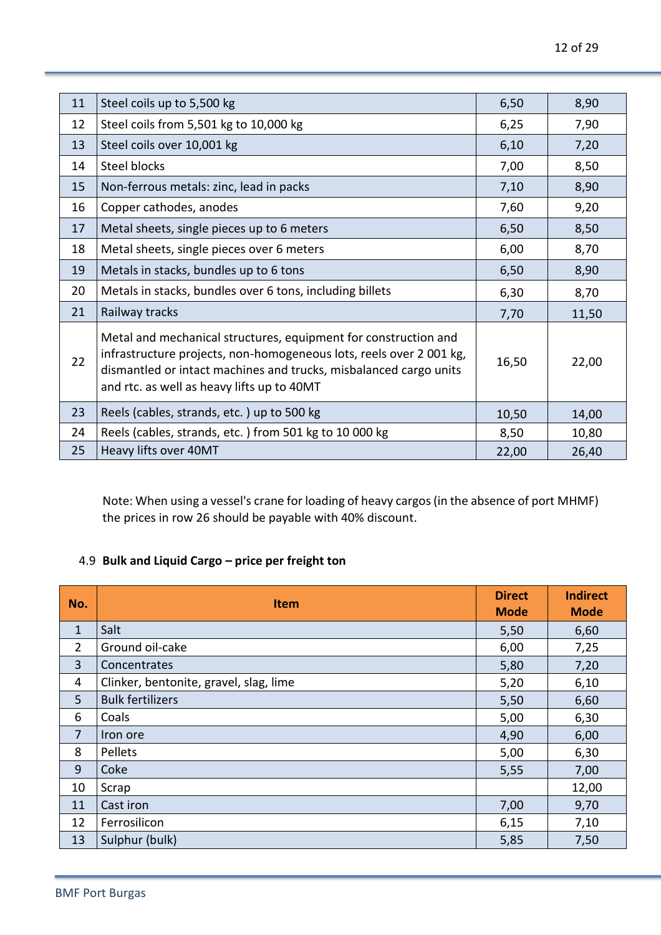| 11 | Steel coils up to 5,500 kg                                                                                                                                                                                                                               | 6,50  | 8,90  |
|----|----------------------------------------------------------------------------------------------------------------------------------------------------------------------------------------------------------------------------------------------------------|-------|-------|
| 12 | Steel coils from 5,501 kg to 10,000 kg                                                                                                                                                                                                                   | 6,25  | 7,90  |
| 13 | Steel coils over 10,001 kg                                                                                                                                                                                                                               | 6,10  | 7,20  |
| 14 | Steel blocks                                                                                                                                                                                                                                             | 7,00  | 8,50  |
| 15 | Non-ferrous metals: zinc, lead in packs                                                                                                                                                                                                                  | 7,10  | 8,90  |
| 16 | Copper cathodes, anodes                                                                                                                                                                                                                                  | 7,60  | 9,20  |
| 17 | Metal sheets, single pieces up to 6 meters                                                                                                                                                                                                               | 6,50  | 8,50  |
| 18 | Metal sheets, single pieces over 6 meters                                                                                                                                                                                                                | 6,00  | 8,70  |
| 19 | Metals in stacks, bundles up to 6 tons                                                                                                                                                                                                                   | 6,50  | 8,90  |
| 20 | Metals in stacks, bundles over 6 tons, including billets                                                                                                                                                                                                 | 6,30  | 8,70  |
| 21 | Railway tracks                                                                                                                                                                                                                                           | 7,70  | 11,50 |
| 22 | Metal and mechanical structures, equipment for construction and<br>infrastructure projects, non-homogeneous lots, reels over 2001 kg,<br>dismantled or intact machines and trucks, misbalanced cargo units<br>and rtc. as well as heavy lifts up to 40MT | 16,50 | 22,00 |
| 23 | Reels (cables, strands, etc.) up to 500 kg                                                                                                                                                                                                               | 10,50 | 14,00 |
| 24 | Reels (cables, strands, etc.) from 501 kg to 10 000 kg                                                                                                                                                                                                   | 8,50  | 10,80 |
| 25 | Heavy lifts over 40MT                                                                                                                                                                                                                                    | 22,00 | 26,40 |

Note: When using a vessel's crane for loading of heavy cargos (in the absence of port MHMF) the prices in row 26 should be payable with 40% discount.

### 4.9 **Bulk and Liquid Cargo – price per freight ton**

| No.            | <b>Item</b>                            | <b>Direct</b><br><b>Mode</b> | <b>Indirect</b><br><b>Mode</b> |
|----------------|----------------------------------------|------------------------------|--------------------------------|
| $\mathbf{1}$   | Salt                                   | 5,50                         | 6,60                           |
| $\overline{2}$ | Ground oil-cake                        | 6,00                         | 7,25                           |
| $\overline{3}$ | Concentrates                           | 5,80                         | 7,20                           |
| 4              | Clinker, bentonite, gravel, slag, lime | 5,20                         | 6,10                           |
| 5 <sup>5</sup> | <b>Bulk fertilizers</b>                | 5,50                         | 6,60                           |
| 6              | Coals                                  | 5,00                         | 6,30                           |
| $\overline{7}$ | Iron ore                               | 4,90                         | 6,00                           |
| 8              | Pellets                                | 5,00                         | 6,30                           |
| 9              | Coke                                   | 5,55                         | 7,00                           |
| 10             | Scrap                                  |                              | 12,00                          |
| 11             | Cast iron                              | 7,00                         | 9,70                           |
| 12             | Ferrosilicon                           | 6,15                         | 7,10                           |
| 13             | Sulphur (bulk)                         | 5,85                         | 7,50                           |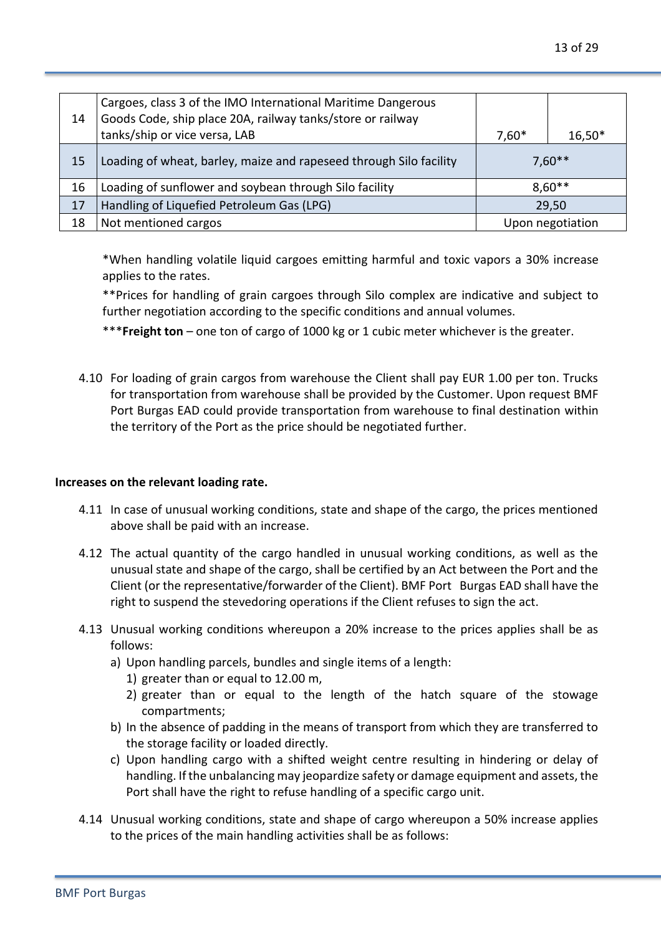| 14 | Cargoes, class 3 of the IMO International Maritime Dangerous<br>Goods Code, ship place 20A, railway tanks/store or railway<br>tanks/ship or vice versa, LAB | $7,60*$ | $16,50*$         |
|----|-------------------------------------------------------------------------------------------------------------------------------------------------------------|---------|------------------|
| 15 | Loading of wheat, barley, maize and rapeseed through Silo facility                                                                                          |         | $7,60**$         |
| 16 | Loading of sunflower and soybean through Silo facility                                                                                                      |         | $8,60**$         |
| 17 | Handling of Liquefied Petroleum Gas (LPG)                                                                                                                   |         | 29,50            |
| 18 | Not mentioned cargos                                                                                                                                        |         | Upon negotiation |

\*When handling volatile liquid cargoes emitting harmful and toxic vapors a 30% increase applies to the rates.

\*\*Prices for handling of grain cargoes through Silo complex are indicative and subject to further negotiation according to the specific conditions and annual volumes.

\*\*\***Freight ton** – one ton of cargo of 1000 kg or 1 cubic meter whichever is the greater.

4.10 For loading of grain cargos from warehouse the Client shall pay EUR 1.00 per ton. Trucks for transportation from warehouse shall be provided by the Customer. Upon request BMF Port Burgas EAD could provide transportation from warehouse to final destination within the territory of the Port as the price should be negotiated further.

#### **Increases on the relevant loading rate.**

- 4.11 In case of unusual working conditions, state and shape of the cargo, the prices mentioned above shall be paid with an increase.
- 4.12 The actual quantity of the cargo handled in unusual working conditions, as well as the unusual state and shape of the cargo, shall be certified by an Act between the Port and the Client (or the representative/forwarder of the Client). BMF Port Burgas EAD shall have the right to suspend the stevedoring operations if the Client refuses to sign the act.
- 4.13 Unusual working conditions whereupon a 20% increase to the prices applies shall be as follows:
	- a) Upon handling parcels, bundles and single items of a length:
		- 1) greater than or equal to 12.00 m,
		- 2) greater than or equal to the length of the hatch square of the stowage compartments;
	- b) In the absence of padding in the means of transport from which they are transferred to the storage facility or loaded directly.
	- c) Upon handling cargo with a shifted weight centre resulting in hindering or delay of handling. If the unbalancing may jeopardize safety or damage equipment and assets, the Port shall have the right to refuse handling of a specific cargo unit.
- 4.14 Unusual working conditions, state and shape of cargo whereupon a 50% increase applies to the prices of the main handling activities shall be as follows: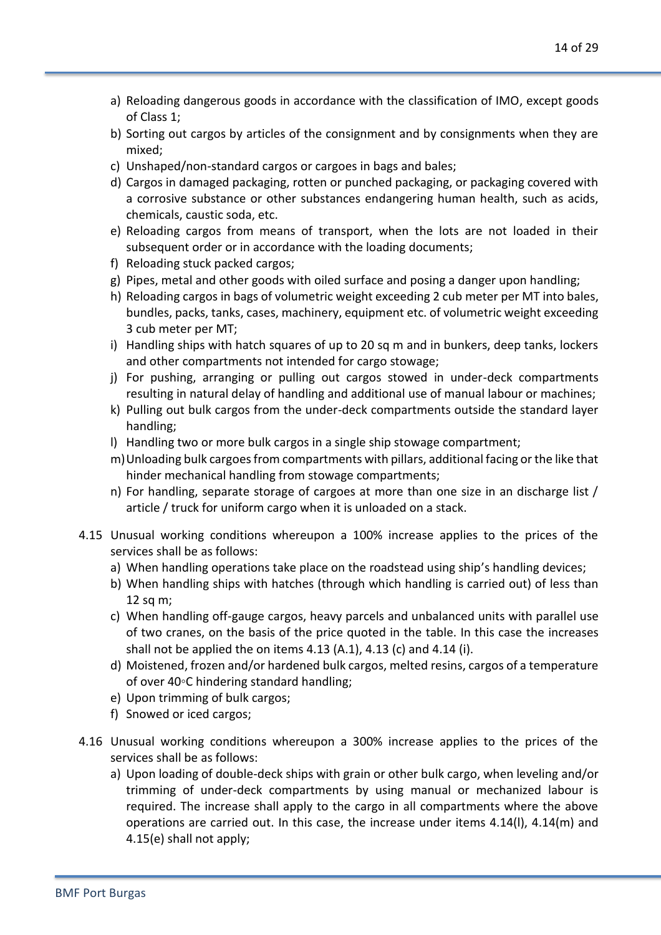- a) Reloading dangerous goods in accordance with the classification of IMO, except goods of Class 1;
- b) Sorting out cargos by articles of the consignment and by consignments when they are mixed;
- c) Unshaped/non-standard cargos or cargoes in bags and bales;
- d) Cargos in damaged packaging, rotten or punched packaging, or packaging covered with a corrosive substance or other substances endangering human health, such as acids, chemicals, caustic soda, etc.
- e) Reloading cargos from means of transport, when the lots are not loaded in their subsequent order or in accordance with the loading documents;
- f) Reloading stuck packed cargos;
- g) Pipes, metal and other goods with oiled surface and posing a danger upon handling;
- h) Reloading cargos in bags of volumetric weight exceeding 2 cub meter per MT into bales, bundles, packs, tanks, cases, machinery, equipment etc. of volumetric weight exceeding 3 cub meter per MT;
- i) Handling ships with hatch squares of up to 20 sq m and in bunkers, deep tanks, lockers and other compartments not intended for cargo stowage;
- j) For pushing, arranging or pulling out cargos stowed in under-deck compartments resulting in natural delay of handling and additional use of manual labour or machines;
- k) Pulling out bulk cargos from the under-deck compartments outside the standard layer handling;
- l) Handling two or more bulk cargos in a single ship stowage compartment;
- m)Unloading bulk cargoes from compartments with pillars, additional facing or the like that hinder mechanical handling from stowage compartments;
- n) For handling, separate storage of cargoes at more than one size in an discharge list / article / truck for uniform cargo when it is unloaded on a stack.
- 4.15 Unusual working conditions whereupon a 100% increase applies to the prices of the services shall be as follows:
	- a) When handling operations take place on the roadstead using ship's handling devices;
	- b) When handling ships with hatches (through which handling is carried out) of less than 12 sq m;
	- c) When handling off-gauge cargos, heavy parcels and unbalanced units with parallel use of two cranes, on the basis of the price quoted in the table. In this case the increases shall not be applied the on items 4.13 (A.1), 4.13 (c) and 4.14 (i).
	- d) Moistened, frozen and/or hardened bulk cargos, melted resins, cargos of a temperature of over 40◦С hindering standard handling;
	- e) Upon trimming of bulk cargos;
	- f) Snowed or iced cargos;
- 4.16 Unusual working conditions whereupon a 300% increase applies to the prices of the services shall be as follows:
	- a) Upon loading of double-deck ships with grain or other bulk cargo, when leveling and/or trimming of under-deck compartments by using manual or mechanized labour is required. The increase shall apply to the cargo in all compartments where the above operations are carried out. In this case, the increase under items  $4.14(1)$ ,  $4.14(m)$  and 4.15(e) shall not apply;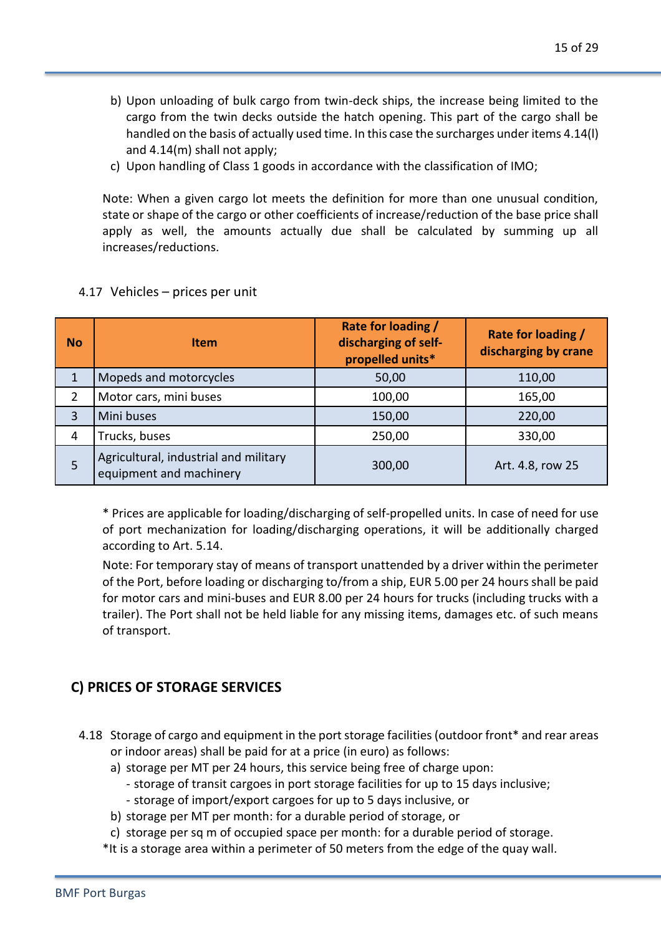- b) Upon unloading of bulk cargo from twin-deck ships, the increase being limited to the cargo from the twin decks outside the hatch opening. This part of the cargo shall be handled on the basis of actually used time. In this case the surcharges under items 4.14(l) and 4.14(m) shall not apply;
- c) Upon handling of Class 1 goods in accordance with the classification of IMO;

Note: When a given cargo lot meets the definition for more than one unusual condition, state or shape of the cargo or other coefficients of increase/reduction of the base price shall apply as well, the amounts actually due shall be calculated by summing up all increases/reductions.

| <b>No</b> | <b>Item</b>                                                      | Rate for loading /<br>discharging of self-<br>propelled units* | Rate for loading /<br>discharging by crane |
|-----------|------------------------------------------------------------------|----------------------------------------------------------------|--------------------------------------------|
|           | Mopeds and motorcycles                                           | 50,00                                                          | 110,00                                     |
|           | Motor cars, mini buses                                           | 100,00                                                         | 165,00                                     |
| 3         | Mini buses                                                       | 150,00                                                         | 220,00                                     |
| 4         | Trucks, buses                                                    | 250,00                                                         | 330,00                                     |
| 5         | Agricultural, industrial and military<br>equipment and machinery | 300,00                                                         | Art. 4.8, row 25                           |

#### 4.17 Vehicles – prices per unit

\* Prices are applicable for loading/discharging of self-propelled units. In case of need for use of port mechanization for loading/discharging operations, it will be additionally charged according to Art. 5.14.

Note: For temporary stay of means of transport unattended by a driver within the perimeter of the Port, before loading or discharging to/from a ship, EUR 5.00 per 24 hours shall be paid for motor cars and mini-buses and EUR 8.00 per 24 hours for trucks (including trucks with a trailer). The Port shall not be held liable for any missing items, damages etc. of such means of transport.

## **C) PRICES OF STORAGE SERVICES**

- 4.18 Storage of cargo and equipment in the port storage facilities (outdoor front\* and rear areas or indoor areas) shall be paid for at a price (in euro) as follows:
	- a) storage per MT per 24 hours, this service being free of charge upon:
		- storage of transit cargoes in port storage facilities for up to 15 days inclusive;
		- storage of import/export cargoes for up to 5 days inclusive, or
	- b) storage per MT per month: for a durable period of storage, or
	- c) storage per sq m of occupied space per month: for a durable period of storage.
	- \*It is a storage area within a perimeter of 50 meters from the edge of the quay wall.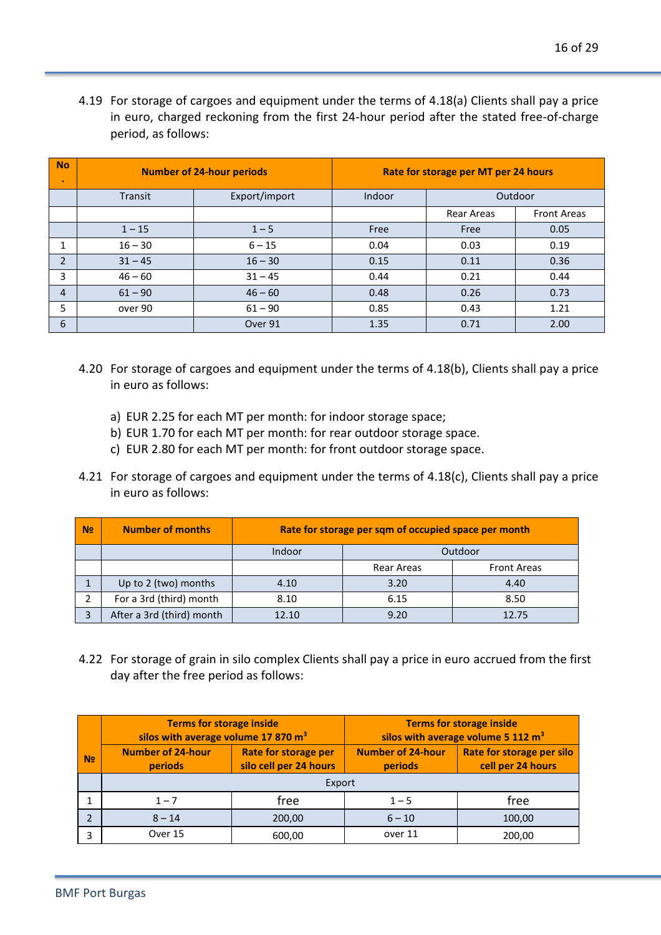4.19 For storage of cargoes and equipment under the terms of 4.18(a) Clients shall pay a price in euro, charged reckoning from the first 24-hour period after the stated free-of-charge period, as follows:

| No<br>$\bullet$ | <b>Number of 24-hour periods</b> |               | Rate for storage per MT per 24 hours |                   |                    |
|-----------------|----------------------------------|---------------|--------------------------------------|-------------------|--------------------|
|                 | Transit                          | Export/import | Indoor                               | Outdoor           |                    |
|                 |                                  |               |                                      | <b>Rear Areas</b> | <b>Front Areas</b> |
|                 | $1 - 15$                         | $1 - 5$       | Free                                 | Free              | 0.05               |
|                 | $16 - 30$                        | $6 - 15$      | 0.04                                 | 0.03              | 0.19               |
| $\overline{2}$  | $31 - 45$                        | $16 - 30$     | 0.15                                 | 0.11              | 0.36               |
| 3               | $46 - 60$                        | $31 - 45$     | 0.44                                 | 0.21              | 0.44               |
| $\overline{4}$  | $61 - 90$                        | $46 - 60$     | 0.48                                 | 0.26              | 0.73               |
| 5               | over 90                          | $61 - 90$     | 0.85                                 | 0.43              | 1.21               |
| 6               |                                  | Over 91       | 1.35                                 | 0.71              | 2.00               |

- 4.20 For storage of cargoes and equipment under the terms of 4.18(b), Clients shall pay a price in euro as follows:
	- a) EUR 2.25 for each MT per month: for indoor storage space;
	- b) EUR 1.70 for each MT per month: for rear outdoor storage space.
	- c) EUR 2.80 for each MT per month: for front outdoor storage space.
- 4.21 For storage of cargoes and equipment under the terms of 4.18(c), Clients shall pay a price in euro as follows:

| N <sub>2</sub> | <b>Number of months</b>   | Rate for storage per sqm of occupied space per month |            |                    |
|----------------|---------------------------|------------------------------------------------------|------------|--------------------|
|                |                           | Indoor                                               | Outdoor    |                    |
|                |                           |                                                      | Rear Areas | <b>Front Areas</b> |
|                | Up to 2 (two) months      | 4.10                                                 | 3.20       | 4.40               |
|                | For a 3rd (third) month   | 8.10                                                 | 6.15       | 8.50               |
| $\mathbf{D}$   | After a 3rd (third) month | 12.10                                                | 9.20       | 12.75              |

4.22 For storage of grain in silo complex Clients shall pay a price in euro accrued from the first day after the free period as follows:

|                          | <b>Terms for storage inside</b><br>silos with average volume 17 870 m <sup>3</sup> |                                                | <b>Terms for storage inside</b><br>silos with average volume 5 112 m <sup>3</sup> |                                                |
|--------------------------|------------------------------------------------------------------------------------|------------------------------------------------|-----------------------------------------------------------------------------------|------------------------------------------------|
| N <sub>2</sub>           | <b>Number of 24-hour</b><br>periods                                                | Rate for storage per<br>silo cell per 24 hours | <b>Number of 24-hour</b><br>periods                                               | Rate for storage per silo<br>cell per 24 hours |
|                          | Export                                                                             |                                                |                                                                                   |                                                |
|                          | $1 - 7$                                                                            | free                                           | $1 - 5$                                                                           | free                                           |
| $\overline{\phantom{a}}$ | $8 - 14$                                                                           | 200,00                                         | $6 - 10$                                                                          | 100,00                                         |
| 3                        | Over 15                                                                            | 600,00                                         | over 11                                                                           | 200,00                                         |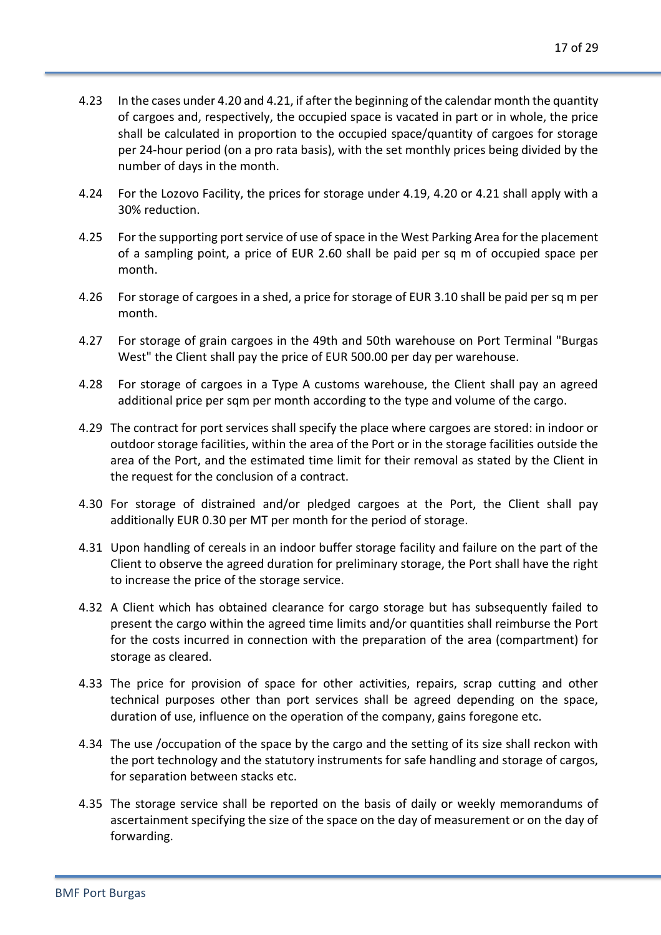- 4.23 In the cases under 4.20 and 4.21, if after the beginning of the calendar month the quantity of cargoes and, respectively, the occupied space is vacated in part or in whole, the price shall be calculated in proportion to the occupied space/quantity of cargoes for storage per 24-hour period (on a pro rata basis), with the set monthly prices being divided by the number of days in the month.
- 4.24 For the Lozovo Facility, the prices for storage under 4.19, 4.20 or 4.21 shall apply with a 30% reduction.
- 4.25 For the supporting port service of use of space in the West Parking Area for the placement of a sampling point, a price of EUR 2.60 shall be paid per sq m of occupied space per month.
- 4.26 For storage of cargoes in a shed, a price for storage of EUR 3.10 shall be paid per sq m per month.
- 4.27 For storage of grain cargoes in the 49th and 50th warehouse on Port Terminal "Burgas West" the Client shall pay the price of EUR 500.00 per day per warehouse.
- 4.28 For storage of cargoes in a Type A customs warehouse, the Client shall pay an agreed additional price per sqm per month according to the type and volume of the cargo.
- 4.29 The contract for port services shall specify the place where cargoes are stored: in indoor or outdoor storage facilities, within the area of the Port or in the storage facilities outside the area of the Port, and the estimated time limit for their removal as stated by the Client in the request for the conclusion of a contract.
- 4.30 For storage of distrained and/or pledged cargoes at the Port, the Client shall pay additionally EUR 0.30 per MT per month for the period of storage.
- 4.31 Upon handling of cereals in an indoor buffer storage facility and failure on the part of the Client to observe the agreed duration for preliminary storage, the Port shall have the right to increase the price of the storage service.
- 4.32 A Client which has obtained clearance for cargo storage but has subsequently failed to present the cargo within the agreed time limits and/or quantities shall reimburse the Port for the costs incurred in connection with the preparation of the area (compartment) for storage as cleared.
- 4.33 The price for provision of space for other activities, repairs, scrap cutting and other technical purposes other than port services shall be agreed depending on the space, duration of use, influence on the operation of the company, gains foregone etc.
- 4.34 The use /occupation of the space by the cargo and the setting of its size shall reckon with the port technology and the statutory instruments for safe handling and storage of cargos, for separation between stacks etc.
- 4.35 The storage service shall be reported on the basis of daily or weekly memorandums of ascertainment specifying the size of the space on the day of measurement or on the day of forwarding.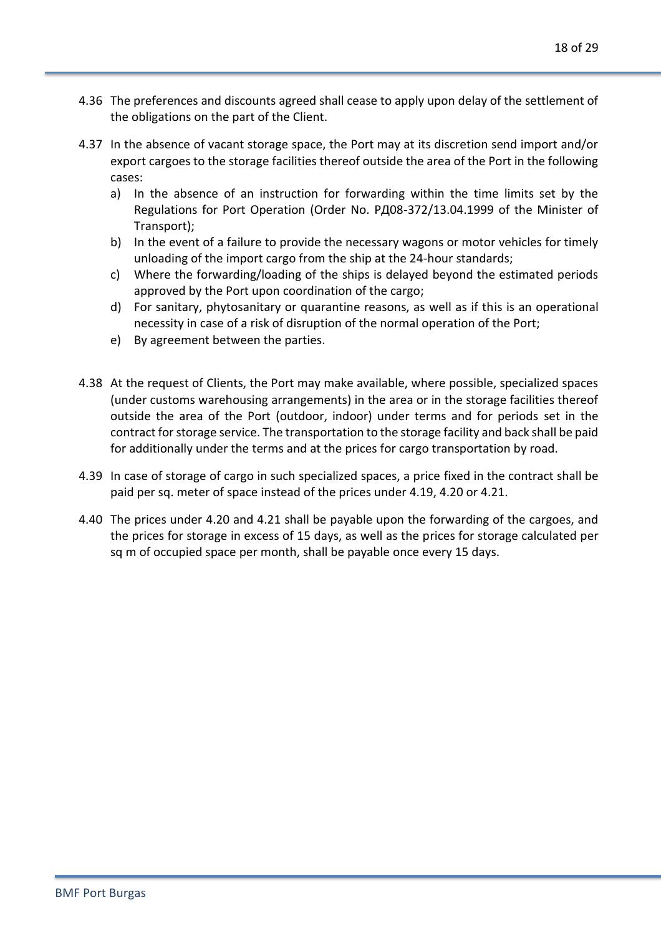- 4.36 The preferences and discounts agreed shall cease to apply upon delay of the settlement of the obligations on the part of the Client.
- 4.37 In the absence of vacant storage space, the Port may at its discretion send import and/or export cargoes to the storage facilities thereof outside the area of the Port in the following cases:
	- a) In the absence of an instruction for forwarding within the time limits set by the Regulations for Port Operation (Order No. РД08-372/13.04.1999 of the Minister of Transport);
	- b) In the event of a failure to provide the necessary wagons or motor vehicles for timely unloading of the import cargo from the ship at the 24-hour standards;
	- c) Where the forwarding/loading of the ships is delayed beyond the estimated periods approved by the Port upon coordination of the cargo;
	- d) For sanitary, phytosanitary or quarantine reasons, as well as if this is an operational necessity in case of a risk of disruption of the normal operation of the Port;
	- e) By agreement between the parties.
- 4.38 At the request of Clients, the Port may make available, where possible, specialized spaces (under customs warehousing arrangements) in the area or in the storage facilities thereof outside the area of the Port (outdoor, indoor) under terms and for periods set in the contract for storage service. The transportation to the storage facility and back shall be paid for additionally under the terms and at the prices for cargo transportation by road.
- 4.39 In case of storage of cargo in such specialized spaces, a price fixed in the contract shall be paid per sq. meter of space instead of the prices under 4.19, 4.20 or 4.21.
- 4.40 The prices under 4.20 and 4.21 shall be payable upon the forwarding of the cargoes, and the prices for storage in excess of 15 days, as well as the prices for storage calculated per sq m of occupied space per month, shall be payable once every 15 days.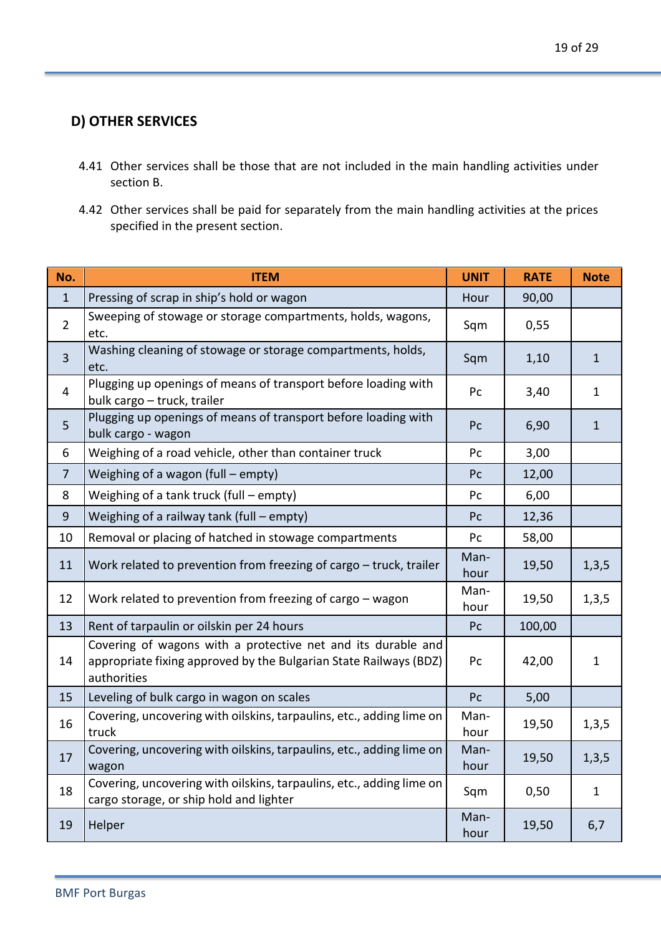## **D) OTHER SERVICES**

- 4.41 Other services shall be those that are not included in the main handling activities under section B.
- 4.42 Other services shall be paid for separately from the main handling activities at the prices specified in the present section.

| No.            | <b>ITEM</b>                                                                                                                                      | <b>UNIT</b>  | <b>RATE</b> | <b>Note</b>  |
|----------------|--------------------------------------------------------------------------------------------------------------------------------------------------|--------------|-------------|--------------|
| $\mathbf{1}$   | Pressing of scrap in ship's hold or wagon                                                                                                        | Hour         | 90,00       |              |
| $\overline{2}$ | Sweeping of stowage or storage compartments, holds, wagons,<br>etc.                                                                              | Sqm          | 0,55        |              |
| $\overline{3}$ | Washing cleaning of stowage or storage compartments, holds,<br>etc.                                                                              | Sqm          | 1,10        | $\mathbf{1}$ |
| $\overline{4}$ | Plugging up openings of means of transport before loading with<br>bulk cargo - truck, trailer                                                    | Pc           | 3,40        | $\mathbf{1}$ |
| 5              | Plugging up openings of means of transport before loading with<br>bulk cargo - wagon                                                             | Pc           | 6,90        | $\mathbf{1}$ |
| 6              | Weighing of a road vehicle, other than container truck                                                                                           | Pc           | 3,00        |              |
| $\overline{7}$ | Weighing of a wagon (full - empty)                                                                                                               | Pc           | 12,00       |              |
| 8              | Weighing of a tank truck (full - empty)                                                                                                          | Pc           | 6,00        |              |
| 9              | Weighing of a railway tank (full - empty)                                                                                                        | Pc           | 12,36       |              |
| 10             | Removal or placing of hatched in stowage compartments                                                                                            | Pc           | 58,00       |              |
| 11             | Work related to prevention from freezing of cargo - truck, trailer                                                                               | Man-<br>hour | 19,50       | 1, 3, 5      |
| 12             | Work related to prevention from freezing of cargo - wagon                                                                                        | Man-<br>hour | 19,50       | 1,3,5        |
| 13             | Rent of tarpaulin or oilskin per 24 hours                                                                                                        | Pc           | 100,00      |              |
| 14             | Covering of wagons with a protective net and its durable and<br>appropriate fixing approved by the Bulgarian State Railways (BDZ)<br>authorities | Pc           | 42,00       | $\mathbf 1$  |
| 15             | Leveling of bulk cargo in wagon on scales                                                                                                        | Pc           | 5,00        |              |
| 16             | Covering, uncovering with oilskins, tarpaulins, etc., adding lime on<br>truck                                                                    | Man-<br>hour | 19,50       | 1, 3, 5      |
| 17             | Covering, uncovering with oilskins, tarpaulins, etc., adding lime on<br>wagon                                                                    | Man-<br>hour | 19,50       | 1, 3, 5      |
| 18             | Covering, uncovering with oilskins, tarpaulins, etc., adding lime on<br>cargo storage, or ship hold and lighter                                  | Sqm          | 0,50        | $\mathbf{1}$ |
| 19             | Helper                                                                                                                                           | Man-<br>hour | 19,50       | 6,7          |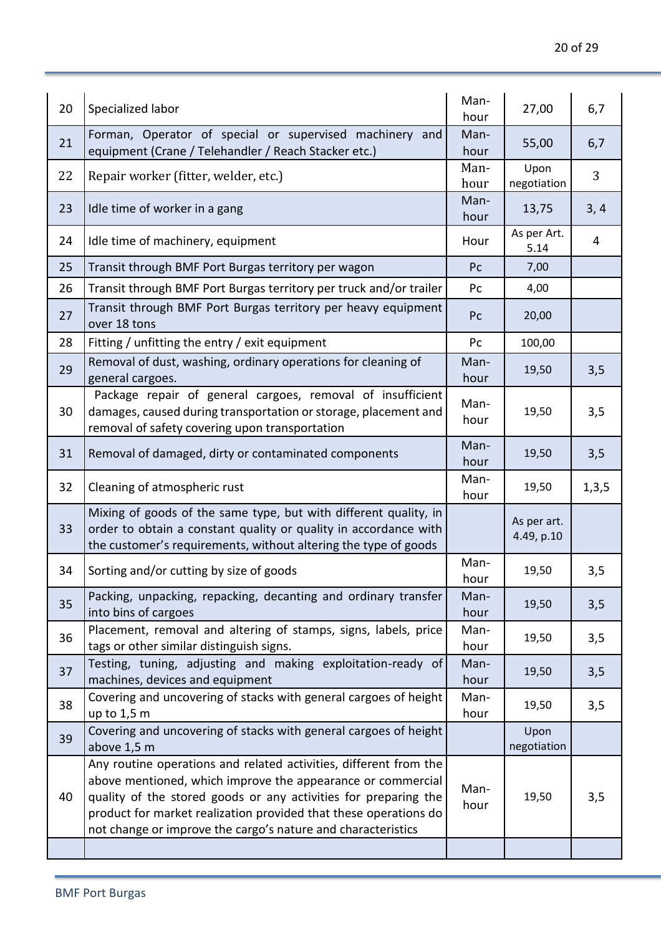| 20 | Specialized labor                                                                                                                                                                                                                                                                                                                       | Man-<br>hour | 27,00                     | 6,7   |
|----|-----------------------------------------------------------------------------------------------------------------------------------------------------------------------------------------------------------------------------------------------------------------------------------------------------------------------------------------|--------------|---------------------------|-------|
| 21 | Forman, Operator of special or supervised machinery and<br>equipment (Crane / Telehandler / Reach Stacker etc.)                                                                                                                                                                                                                         | Man-<br>hour | 55,00                     | 6,7   |
| 22 | Repair worker (fitter, welder, etc.)                                                                                                                                                                                                                                                                                                    | Man-<br>hour | Upon<br>negotiation       | 3     |
| 23 | Idle time of worker in a gang                                                                                                                                                                                                                                                                                                           | Man-<br>hour | 13,75                     | 3, 4  |
| 24 | Idle time of machinery, equipment                                                                                                                                                                                                                                                                                                       | Hour         | As per Art.<br>5.14       | 4     |
| 25 | Transit through BMF Port Burgas territory per wagon                                                                                                                                                                                                                                                                                     | Pc           | 7,00                      |       |
| 26 | Transit through BMF Port Burgas territory per truck and/or trailer                                                                                                                                                                                                                                                                      | Pc           | 4,00                      |       |
| 27 | Transit through BMF Port Burgas territory per heavy equipment<br>over 18 tons                                                                                                                                                                                                                                                           | Pc           | 20,00                     |       |
| 28 | Fitting / unfitting the entry / exit equipment                                                                                                                                                                                                                                                                                          | Pc           | 100,00                    |       |
| 29 | Removal of dust, washing, ordinary operations for cleaning of<br>general cargoes.                                                                                                                                                                                                                                                       | Man-<br>hour | 19,50                     | 3,5   |
| 30 | Package repair of general cargoes, removal of insufficient<br>damages, caused during transportation or storage, placement and<br>removal of safety covering upon transportation                                                                                                                                                         | Man-<br>hour | 19,50                     | 3,5   |
| 31 | Removal of damaged, dirty or contaminated components                                                                                                                                                                                                                                                                                    | Man-<br>hour | 19,50                     | 3,5   |
| 32 | Cleaning of atmospheric rust                                                                                                                                                                                                                                                                                                            | Man-<br>hour | 19,50                     | 1,3,5 |
| 33 | Mixing of goods of the same type, but with different quality, in<br>order to obtain a constant quality or quality in accordance with<br>the customer's requirements, without altering the type of goods                                                                                                                                 |              | As per art.<br>4.49, p.10 |       |
| 34 | Sorting and/or cutting by size of goods                                                                                                                                                                                                                                                                                                 | Man-<br>hour | 19,50                     | 3,5   |
| 35 | Packing, unpacking, repacking, decanting and ordinary transfer<br>into bins of cargoes                                                                                                                                                                                                                                                  | Man-<br>hour | 19,50                     | 3,5   |
| 36 | Placement, removal and altering of stamps, signs, labels, price<br>tags or other similar distinguish signs.                                                                                                                                                                                                                             | Man-<br>hour | 19,50                     | 3,5   |
| 37 | Testing, tuning, adjusting and making exploitation-ready of<br>machines, devices and equipment                                                                                                                                                                                                                                          | Man-<br>hour | 19,50                     | 3,5   |
| 38 | Covering and uncovering of stacks with general cargoes of height<br>up to 1,5 m                                                                                                                                                                                                                                                         | Man-<br>hour | 19,50                     | 3,5   |
| 39 | Covering and uncovering of stacks with general cargoes of height<br>above 1,5 m                                                                                                                                                                                                                                                         |              | Upon<br>negotiation       |       |
| 40 | Any routine operations and related activities, different from the<br>above mentioned, which improve the appearance or commercial<br>quality of the stored goods or any activities for preparing the<br>product for market realization provided that these operations do<br>not change or improve the cargo's nature and characteristics | Man-<br>hour | 19,50                     | 3,5   |
|    |                                                                                                                                                                                                                                                                                                                                         |              |                           |       |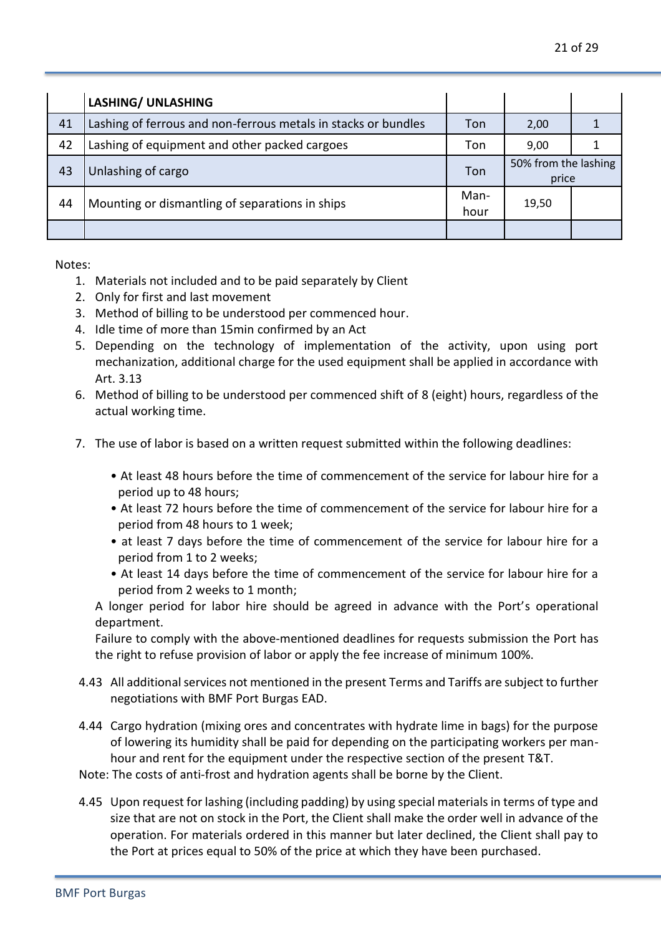|    | <b>LASHING/ UNLASHING</b>                                      |              |                               |  |
|----|----------------------------------------------------------------|--------------|-------------------------------|--|
| 41 | Lashing of ferrous and non-ferrous metals in stacks or bundles | Ton          | 2,00                          |  |
| 42 | Lashing of equipment and other packed cargoes                  | Ton          | 9,00                          |  |
| 43 | Unlashing of cargo                                             | Ton          | 50% from the lashing<br>price |  |
| 44 | Mounting or dismantling of separations in ships                | Man-<br>hour | 19,50                         |  |
|    |                                                                |              |                               |  |

Notes:

- 1. Materials not included and to be paid separately by Client
- 2. Only for first and last movement
- 3. Method of billing to be understood per commenced hour.
- 4. Idle time of more than 15min confirmed by an Act
- 5. Depending on the technology of implementation of the activity, upon using port mechanization, additional charge for the used equipment shall be applied in accordance with Art. 3.13
- 6. Method of billing to be understood per commenced shift of 8 (eight) hours, regardless of the actual working time.
- 7. The use of labor is based on a written request submitted within the following deadlines:
	- At least 48 hours before the time of commencement of the service for labour hire for a period up to 48 hours;
	- At least 72 hours before the time of commencement of the service for labour hire for a period from 48 hours to 1 week;
	- at least 7 days before the time of commencement of the service for labour hire for a period from 1 to 2 weeks;
	- At least 14 days before the time of commencement of the service for labour hire for a period from 2 weeks to 1 month;

A longer period for labor hire should be agreed in advance with the Port's operational department.

Failure to comply with the above-mentioned deadlines for requests submission the Port has the right to refuse provision of labor or apply the fee increase of minimum 100%.

- 4.43 All additional services not mentioned in the present Terms and Tariffs are subject to further negotiations with BMF Port Burgas EAD.
- 4.44 Cargo hydration (mixing ores and concentrates with hydrate lime in bags) for the purpose of lowering its humidity shall be paid for depending on the participating workers per manhour and rent for the equipment under the respective section of the present T&T.
- Note: The costs of anti-frost and hydration agents shall be borne by the Client.
- 4.45 Upon request for lashing (including padding) by using special materials in terms of type and size that are not on stock in the Port, the Client shall make the order well in advance of the operation. For materials ordered in this manner but later declined, the Client shall pay to the Port at prices equal to 50% of the price at which they have been purchased.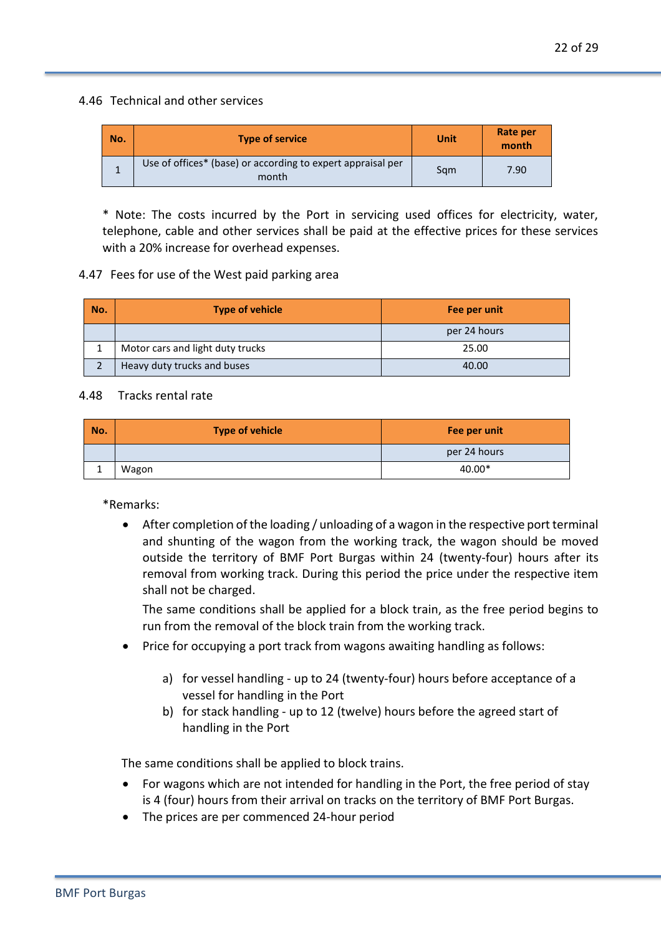#### 4.46 Technical and other services

| No. | <b>Type of service</b>                                               | Unit | Rate per<br>month |
|-----|----------------------------------------------------------------------|------|-------------------|
|     | Use of offices* (base) or according to expert appraisal per<br>month | Sam  | 7.90              |

\* Note: The costs incurred by the Port in servicing used offices for electricity, water, telephone, cable and other services shall be paid at the effective prices for these services with a 20% increase for overhead expenses.

#### 4.47 Fees for use of the West paid parking area

| No. | <b>Type of vehicle</b>           | Fee per unit |
|-----|----------------------------------|--------------|
|     |                                  | per 24 hours |
|     | Motor cars and light duty trucks | 25.00        |
|     | Heavy duty trucks and buses      | 40.00        |

#### 4.48 Tracks rental rate

| No. | <b>Type of vehicle</b> | Fee per unit |
|-----|------------------------|--------------|
|     |                        | per 24 hours |
|     | Wagon                  | 40.00*       |

\*Remarks:

• After completion of the loading / unloading of a wagon in the respective port terminal and shunting of the wagon from the working track, the wagon should be moved outside the territory of BMF Port Burgas within 24 (twenty-four) hours after its removal from working track. During this period the price under the respective item shall not be charged.

The same conditions shall be applied for a block train, as the free period begins to run from the removal of the block train from the working track.

- Price for occupying a port track from wagons awaiting handling as follows:
	- a) for vessel handling up to 24 (twenty-four) hours before acceptance of a vessel for handling in the Port
	- b) for stack handling up to 12 (twelve) hours before the agreed start of handling in the Port

The same conditions shall be applied to block trains.

- For wagons which are not intended for handling in the Port, the free period of stay is 4 (four) hours from their arrival on tracks on the territory of BMF Port Burgas.
- The prices are per commenced 24-hour period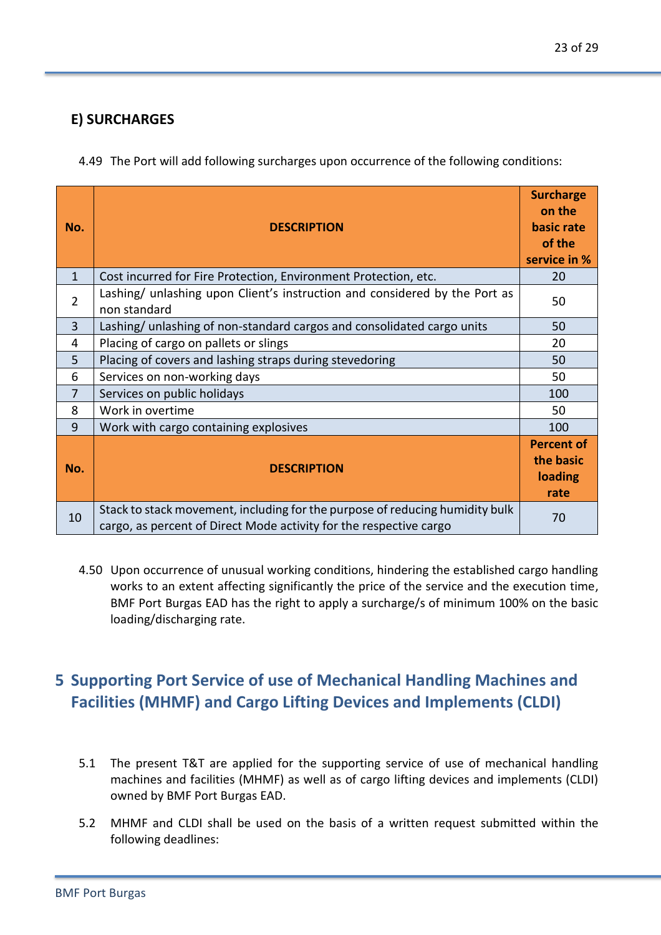4.49 The Port will add following surcharges upon occurrence of the following conditions:

| No. | <b>DESCRIPTION</b>                                                                                                                                 | <b>Surcharge</b><br>on the<br>basic rate<br>of the<br>service in % |
|-----|----------------------------------------------------------------------------------------------------------------------------------------------------|--------------------------------------------------------------------|
| 1   | Cost incurred for Fire Protection, Environment Protection, etc.                                                                                    | 20                                                                 |
| 2   | Lashing/ unlashing upon Client's instruction and considered by the Port as<br>non standard                                                         | 50                                                                 |
| 3   | Lashing/ unlashing of non-standard cargos and consolidated cargo units                                                                             | 50                                                                 |
| 4   | Placing of cargo on pallets or slings                                                                                                              | 20                                                                 |
| 5   | Placing of covers and lashing straps during stevedoring                                                                                            | 50                                                                 |
| 6   | Services on non-working days                                                                                                                       | 50                                                                 |
| 7   | Services on public holidays                                                                                                                        | 100                                                                |
| 8   | Work in overtime                                                                                                                                   | 50                                                                 |
| 9   | Work with cargo containing explosives                                                                                                              | 100                                                                |
| No. | <b>DESCRIPTION</b>                                                                                                                                 | <b>Percent of</b><br>the basic<br>loading<br>rate                  |
| 10  | Stack to stack movement, including for the purpose of reducing humidity bulk<br>cargo, as percent of Direct Mode activity for the respective cargo | 70                                                                 |

4.50 Upon occurrence of unusual working conditions, hindering the established cargo handling works to an extent affecting significantly the price of the service and the execution time, BMF Port Burgas EAD has the right to apply a surcharge/s of minimum 100% on the basic loading/discharging rate.

# **5 Supporting Port Service of use of Mechanical Handling Machines and Facilities (MHMF) and Cargo Lifting Devices and Implements (CLDI)**

- 5.1 The present T&T are applied for the supporting service of use of mechanical handling machines and facilities (MHMF) as well as of cargo lifting devices and implements (CLDI) owned by BMF Port Burgas EAD.
- 5.2 MHMF and CLDI shall be used on the basis of a written request submitted within the following deadlines: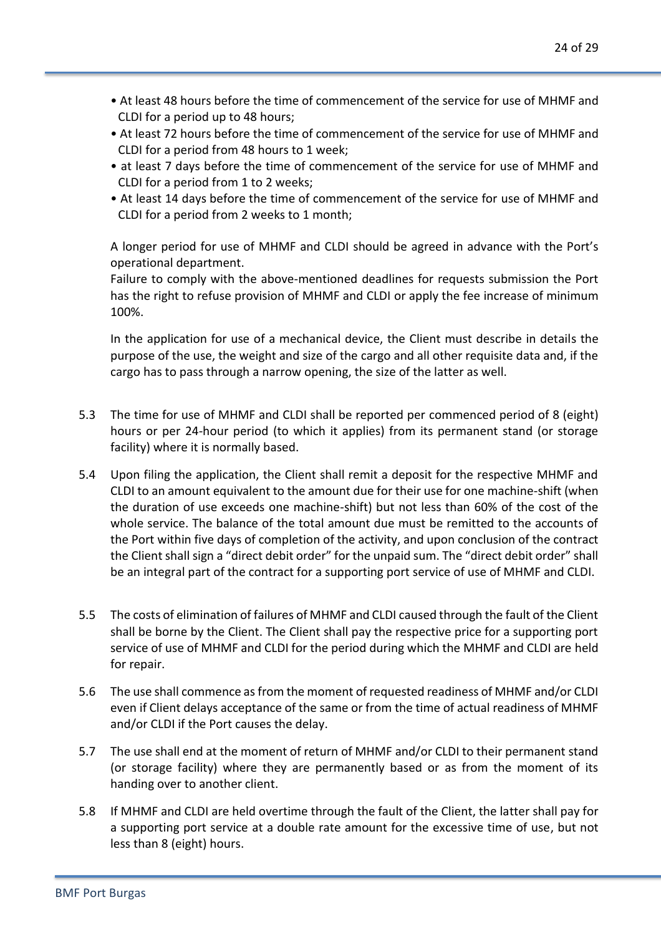- At least 48 hours before the time of commencement of the service for use of MHMF and CLDI for a period up to 48 hours;
- At least 72 hours before the time of commencement of the service for use of MHMF and CLDI for a period from 48 hours to 1 week;
- at least 7 days before the time of commencement of the service for use of MHMF and CLDI for a period from 1 to 2 weeks;
- At least 14 days before the time of commencement of the service for use of MHMF and CLDI for a period from 2 weeks to 1 month;

A longer period for use of MHMF and CLDI should be agreed in advance with the Port's operational department.

Failure to comply with the above-mentioned deadlines for requests submission the Port has the right to refuse provision of MHMF and CLDI or apply the fee increase of minimum 100%.

In the application for use of a mechanical device, the Client must describe in details the purpose of the use, the weight and size of the cargo and all other requisite data and, if the cargo has to pass through a narrow opening, the size of the latter as well.

- 5.3 The time for use of MHMF and CLDI shall be reported per commenced period of 8 (eight) hours or per 24-hour period (to which it applies) from its permanent stand (or storage facility) where it is normally based.
- 5.4 Upon filing the application, the Client shall remit a deposit for the respective MHMF and CLDI to an amount equivalent to the amount due for their use for one machine-shift (when the duration of use exceeds one machine-shift) but not less than 60% of the cost of the whole service. The balance of the total amount due must be remitted to the accounts of the Port within five days of completion of the activity, and upon conclusion of the contract the Client shall sign a "direct debit order" for the unpaid sum. The "direct debit order" shall be an integral part of the contract for a supporting port service of use of MHMF and CLDI.
- 5.5 The costs of elimination of failures of MHMF and CLDI caused through the fault of the Client shall be borne by the Client. The Client shall pay the respective price for a supporting port service of use of MHMF and CLDI for the period during which the MHMF and CLDI are held for repair.
- 5.6 The use shall commence as from the moment of requested readiness of MHMF and/or CLDI even if Client delays acceptance of the same or from the time of actual readiness of MHMF and/or CLDI if the Port causes the delay.
- 5.7 The use shall end at the moment of return of MHMF and/or CLDI to their permanent stand (or storage facility) where they are permanently based or as from the moment of its handing over to another client.
- 5.8 If MHMF and CLDI are held overtime through the fault of the Client, the latter shall pay for a supporting port service at a double rate amount for the excessive time of use, but not less than 8 (eight) hours.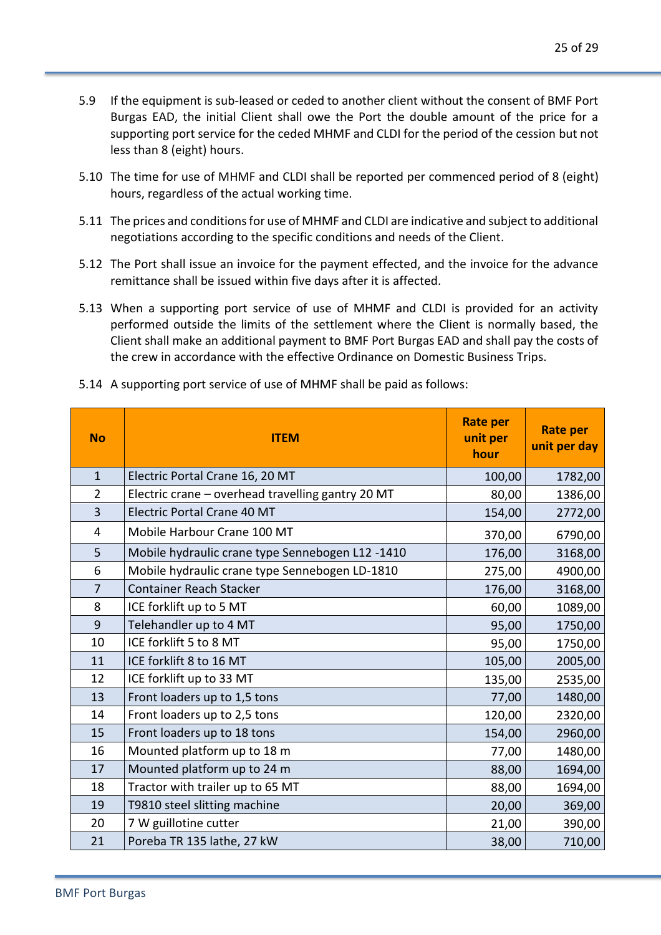- 5.9 If the equipment is sub-leased or ceded to another client without the consent of BMF Port Burgas EAD, the initial Client shall owe the Port the double amount of the price for a supporting port service for the ceded MHMF and CLDI for the period of the cession but not less than 8 (eight) hours.
- 5.10 The time for use of MHMF and CLDI shall be reported per commenced period of 8 (eight) hours, regardless of the actual working time.
- 5.11 The prices and conditions for use of MHMF and CLDI are indicative and subject to additional negotiations according to the specific conditions and needs of the Client.
- 5.12 The Port shall issue an invoice for the payment effected, and the invoice for the advance remittance shall be issued within five days after it is affected.
- 5.13 When a supporting port service of use of MHMF and CLDI is provided for an activity performed outside the limits of the settlement where the Client is normally based, the Client shall make an additional payment to BMF Port Burgas EAD and shall pay the costs of the crew in accordance with the effective Ordinance on Domestic Business Trips.

| <b>No</b>      | <b>ITEM</b>                                       | <b>Rate per</b><br>unit per<br>hour | <b>Rate per</b><br>unit per day |
|----------------|---------------------------------------------------|-------------------------------------|---------------------------------|
| $\mathbf{1}$   | Electric Portal Crane 16, 20 MT                   | 100,00                              | 1782,00                         |
| $\overline{2}$ | Electric crane - overhead travelling gantry 20 MT | 80,00                               | 1386,00                         |
| 3              | <b>Electric Portal Crane 40 MT</b>                | 154,00                              | 2772,00                         |
| 4              | Mobile Harbour Crane 100 MT                       | 370,00                              | 6790,00                         |
| 5              | Mobile hydraulic crane type Sennebogen L12 -1410  | 176,00                              | 3168,00                         |
| 6              | Mobile hydraulic crane type Sennebogen LD-1810    | 275,00                              | 4900,00                         |
| $\overline{7}$ | <b>Container Reach Stacker</b>                    | 176,00                              | 3168,00                         |
| 8              | ICE forklift up to 5 MT                           | 60,00                               | 1089,00                         |
| 9              | Telehandler up to 4 MT                            | 95,00                               | 1750,00                         |
| 10             | ICE forklift 5 to 8 MT                            | 95,00                               | 1750,00                         |
| 11             | ICE forklift 8 to 16 MT                           | 105,00                              | 2005,00                         |
| 12             | ICE forklift up to 33 MT                          | 135,00                              | 2535,00                         |
| 13             | Front loaders up to 1,5 tons                      | 77,00                               | 1480,00                         |
| 14             | Front loaders up to 2,5 tons                      | 120,00                              | 2320,00                         |
| 15             | Front loaders up to 18 tons                       | 154,00                              | 2960,00                         |
| 16             | Mounted platform up to 18 m                       | 77,00                               | 1480,00                         |
| 17             | Mounted platform up to 24 m                       | 88,00                               | 1694,00                         |
| 18             | Tractor with trailer up to 65 MT                  | 88,00                               | 1694,00                         |
| 19             | T9810 steel slitting machine                      | 20,00                               | 369,00                          |
| 20             | 7 W guillotine cutter                             | 21,00                               | 390,00                          |
| 21             | Poreba TR 135 lathe, 27 kW                        | 38,00                               | 710,00                          |

5.14 A supporting port service of use of MHMF shall be paid as follows: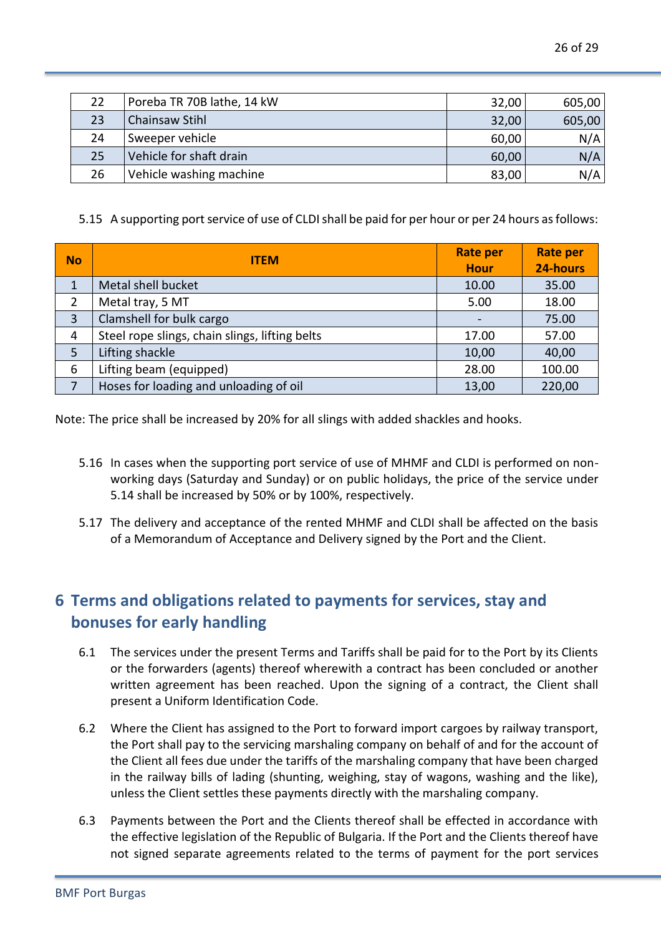| 22 | Poreba TR 70B lathe, 14 kW | 32,00 | 605,00 |
|----|----------------------------|-------|--------|
| 23 | <b>Chainsaw Stihl</b>      | 32,00 | 605,00 |
| 24 | Sweeper vehicle            | 60,00 | N/A    |
| 25 | Vehicle for shaft drain    | 60,00 | N/A    |
| 26 | Vehicle washing machine    | 83,00 | N/A    |

5.15 A supporting port service of use of CLDI shall be paid for per hour or per 24 hours as follows:

| <b>No</b>      | <b>ITEM</b>                                    | <b>Rate per</b><br><b>Hour</b> | <b>Rate per</b><br>24-hours |
|----------------|------------------------------------------------|--------------------------------|-----------------------------|
| 1              | Metal shell bucket                             | 10.00                          | 35.00                       |
| $\overline{2}$ | Metal tray, 5 MT                               | 5.00                           | 18.00                       |
| 3              | Clamshell for bulk cargo                       |                                | 75.00                       |
| 4              | Steel rope slings, chain slings, lifting belts | 17.00                          | 57.00                       |
| 5              | Lifting shackle                                | 10,00                          | 40,00                       |
| 6              | Lifting beam (equipped)                        | 28.00                          | 100.00                      |
| $\overline{7}$ | Hoses for loading and unloading of oil         | 13,00                          | 220,00                      |

Note: The price shall be increased by 20% for all slings with added shackles and hooks.

- 5.16 In cases when the supporting port service of use of MHMF and CLDI is performed on nonworking days (Saturday and Sunday) or on public holidays, the price of the service under 5.14 shall be increased by 50% or by 100%, respectively.
- 5.17 The delivery and acceptance of the rented MHMF and CLDI shall be affected on the basis of a Memorandum of Acceptance and Delivery signed by the Port and the Client.

# **6 Terms and obligations related to payments for services, stay and bonuses for early handling**

- 6.1 The services under the present Terms and Tariffs shall be paid for to the Port by its Clients or the forwarders (agents) thereof wherewith a contract has been concluded or another written agreement has been reached. Upon the signing of a contract, the Client shall present a Uniform Identification Code.
- 6.2 Where the Client has assigned to the Port to forward import cargoes by railway transport, the Port shall pay to the servicing marshaling company on behalf of and for the account of the Client all fees due under the tariffs of the marshaling company that have been charged in the railway bills of lading (shunting, weighing, stay of wagons, washing and the like), unless the Client settles these payments directly with the marshaling company.
- 6.3 Payments between the Port and the Clients thereof shall be effected in accordance with the effective legislation of the Republic of Bulgaria. If the Port and the Clients thereof have not signed separate agreements related to the terms of payment for the port services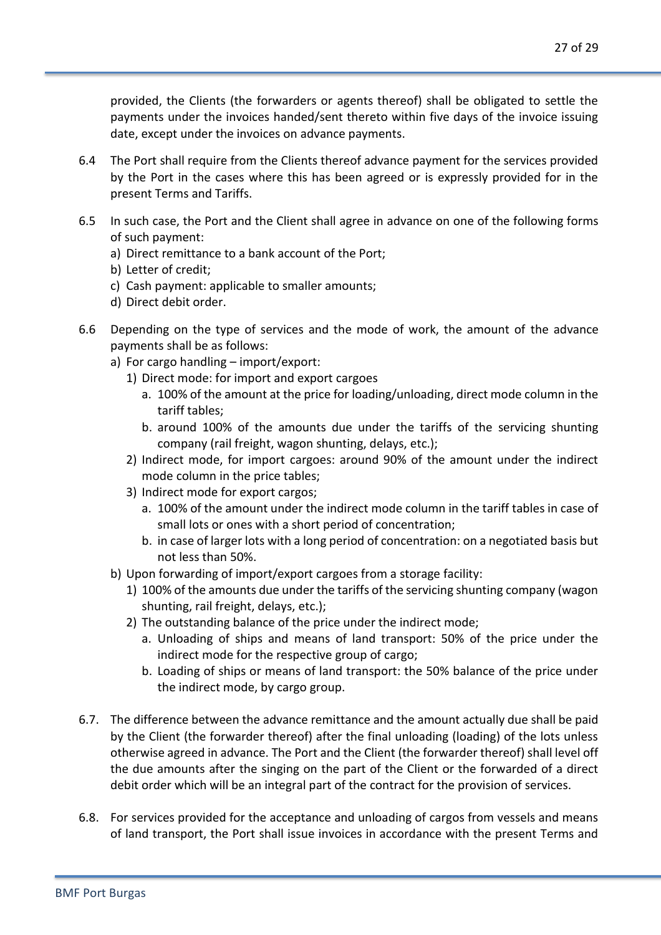provided, the Clients (the forwarders or agents thereof) shall be obligated to settle the payments under the invoices handed/sent thereto within five days of the invoice issuing date, except under the invoices on advance payments.

- 6.4 The Port shall require from the Clients thereof advance payment for the services provided by the Port in the cases where this has been agreed or is expressly provided for in the present Terms and Tariffs.
- 6.5 In such case, the Port and the Client shall agree in advance on one of the following forms of such payment:
	- a) Direct remittance to a bank account of the Port;
	- b) Letter of credit;
	- c) Cash payment: applicable to smaller amounts;
	- d) Direct debit order.
- 6.6 Depending on the type of services and the mode of work, the amount of the advance payments shall be as follows:
	- a) For cargo handling import/export:
		- 1) Direct mode: for import and export cargoes
			- a. 100% of the amount at the price for loading/unloading, direct mode column in the tariff tables;
			- b. around 100% of the amounts due under the tariffs of the servicing shunting company (rail freight, wagon shunting, delays, etc.);
		- 2) Indirect mode, for import cargoes: around 90% of the amount under the indirect mode column in the price tables;
		- 3) Indirect mode for export cargos;
			- a. 100% of the amount under the indirect mode column in the tariff tables in case of small lots or ones with a short period of concentration;
			- b. in case of larger lots with a long period of concentration: on a negotiated basis but not less than 50%.
	- b) Upon forwarding of import/export cargoes from a storage facility:
		- 1) 100% of the amounts due under the tariffs of the servicing shunting company (wagon shunting, rail freight, delays, etc.);
		- 2) The outstanding balance of the price under the indirect mode;
			- a. Unloading of ships and means of land transport: 50% of the price under the indirect mode for the respective group of cargo;
			- b. Loading of ships or means of land transport: the 50% balance of the price under the indirect mode, by cargo group.
- 6.7. The difference between the advance remittance and the amount actually due shall be paid by the Client (the forwarder thereof) after the final unloading (loading) of the lots unless otherwise agreed in advance. The Port and the Client (the forwarder thereof) shall level off the due amounts after the singing on the part of the Client or the forwarded of a direct debit order which will be an integral part of the contract for the provision of services.
- 6.8. For services provided for the acceptance and unloading of cargos from vessels and means of land transport, the Port shall issue invoices in accordance with the present Terms and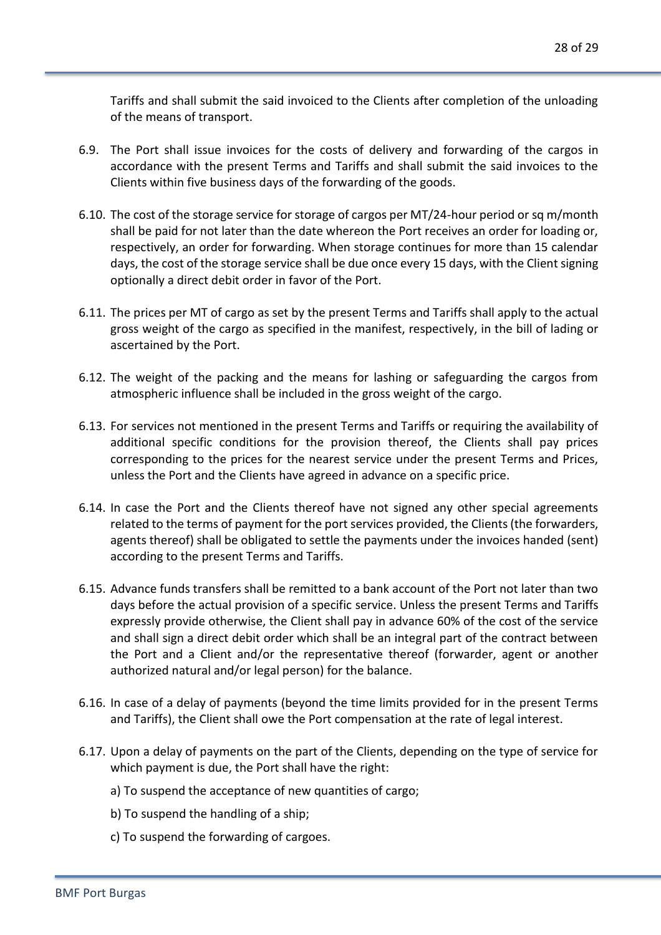Tariffs and shall submit the said invoiced to the Clients after completion of the unloading of the means of transport.

- 6.9. The Port shall issue invoices for the costs of delivery and forwarding of the cargos in accordance with the present Terms and Tariffs and shall submit the said invoices to the Clients within five business days of the forwarding of the goods.
- 6.10. The cost of the storage service for storage of cargos per MT/24-hour period or sq m/month shall be paid for not later than the date whereon the Port receives an order for loading or, respectively, an order for forwarding. When storage continues for more than 15 calendar days, the cost of the storage service shall be due once every 15 days, with the Client signing optionally a direct debit order in favor of the Port.
- 6.11. The prices per MT of cargo as set by the present Terms and Tariffs shall apply to the actual gross weight of the cargo as specified in the manifest, respectively, in the bill of lading or ascertained by the Port.
- 6.12. The weight of the packing and the means for lashing or safeguarding the cargos from atmospheric influence shall be included in the gross weight of the cargo.
- 6.13. For services not mentioned in the present Terms and Tariffs or requiring the availability of additional specific conditions for the provision thereof, the Clients shall pay prices corresponding to the prices for the nearest service under the present Terms and Prices, unless the Port and the Clients have agreed in advance on a specific price.
- 6.14. In case the Port and the Clients thereof have not signed any other special agreements related to the terms of payment for the port services provided, the Clients (the forwarders, agents thereof) shall be obligated to settle the payments under the invoices handed (sent) according to the present Terms and Tariffs.
- 6.15. Advance funds transfers shall be remitted to a bank account of the Port not later than two days before the actual provision of a specific service. Unless the present Terms and Tariffs expressly provide otherwise, the Client shall pay in advance 60% of the cost of the service and shall sign a direct debit order which shall be an integral part of the contract between the Port and a Client and/or the representative thereof (forwarder, agent or another authorized natural and/or legal person) for the balance.
- 6.16. In case of a delay of payments (beyond the time limits provided for in the present Terms and Tariffs), the Client shall owe the Port compensation at the rate of legal interest.
- 6.17. Upon a delay of payments on the part of the Clients, depending on the type of service for which payment is due, the Port shall have the right:
	- a) To suspend the acceptance of new quantities of cargo;
	- b) To suspend the handling of a ship;
	- c) To suspend the forwarding of cargoes.